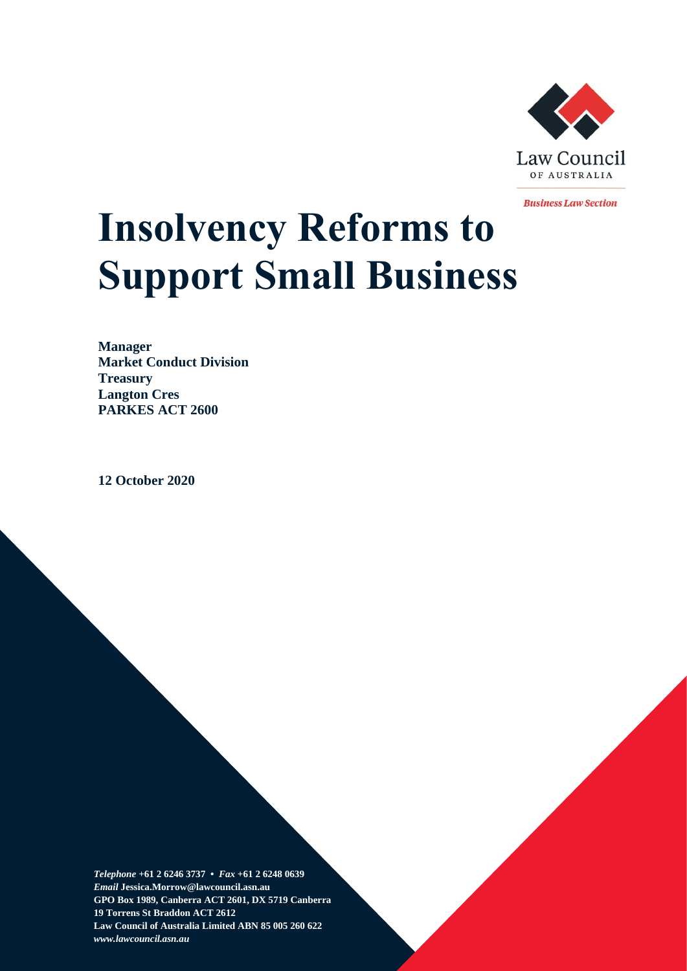

**Business Law Section** 

# **Insolvency Reforms to Support Small Business**

**Manager Market Conduct Division Treasury Langton Cres PARKES ACT 2600**

**12 October 2020**

*Telephone* **+61 2 6246 3737 •** *Fax* **+61 2 6248 0639**  *Email* **Jessica.Morrow@lawcouncil.asn.au GPO Box 1989, Canberra ACT 2601, DX 5719 Canberra 19 Torrens St Braddon ACT 2612 Law Council of Australia Limited ABN 85 005 260 622** *www.lawcouncil.asn.au*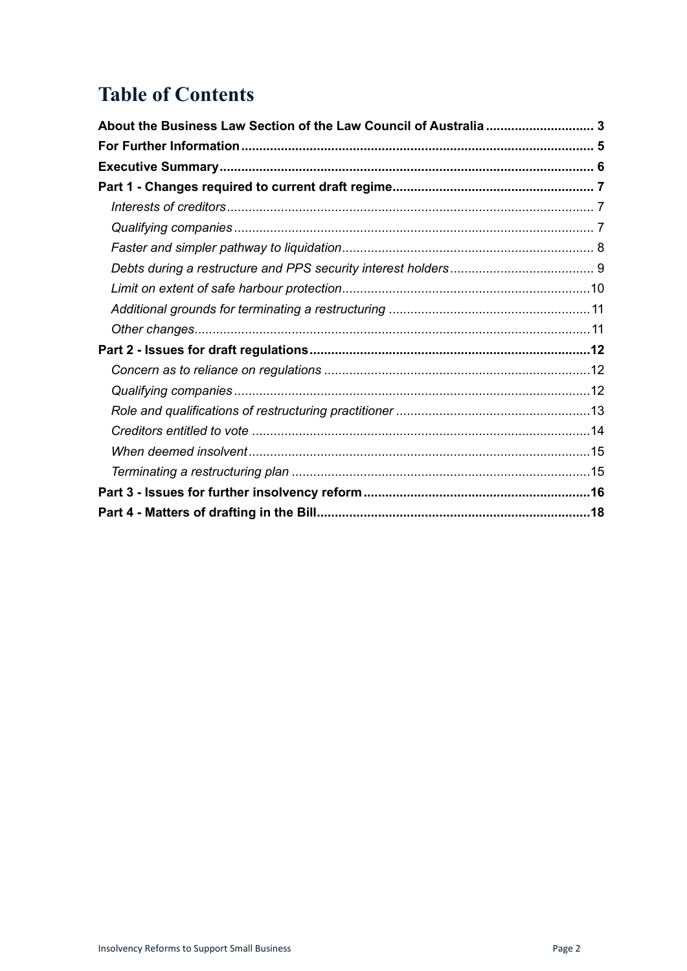# **Table of Contents**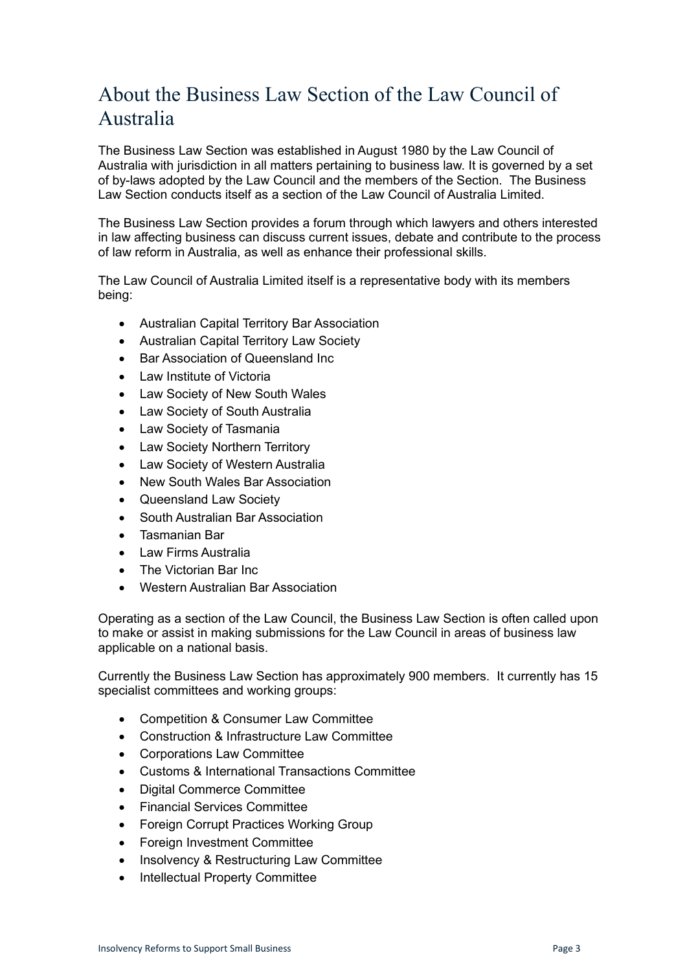# <span id="page-2-0"></span>About the Business Law Section of the Law Council of Australia

The Business Law Section was established in August 1980 by the Law Council of Australia with jurisdiction in all matters pertaining to business law. It is governed by a set of by-laws adopted by the Law Council and the members of the Section. The Business Law Section conducts itself as a section of the Law Council of Australia Limited.

The Business Law Section provides a forum through which lawyers and others interested in law affecting business can discuss current issues, debate and contribute to the process of law reform in Australia, as well as enhance their professional skills.

The Law Council of Australia Limited itself is a representative body with its members being:

- Australian Capital Territory Bar Association
- Australian Capital Territory Law Society
- Bar Association of Queensland Inc
- Law Institute of Victoria
- Law Society of New South Wales
- Law Society of South Australia
- Law Society of Tasmania
- Law Society Northern Territory
- Law Society of Western Australia
- New South Wales Bar Association
- Queensland Law Society
- South Australian Bar Association
- Tasmanian Bar
- Law Firms Australia
- The Victorian Bar Inc
- Western Australian Bar Association

Operating as a section of the Law Council, the Business Law Section is often called upon to make or assist in making submissions for the Law Council in areas of business law applicable on a national basis.

Currently the Business Law Section has approximately 900 members. It currently has 15 specialist committees and working groups:

- Competition & Consumer Law Committee
- Construction & Infrastructure Law Committee
- Corporations Law Committee
- Customs & International Transactions Committee
- Digital Commerce Committee
- Financial Services Committee
- Foreign Corrupt Practices Working Group
- Foreign Investment Committee
- Insolvency & Restructuring Law Committee
- Intellectual Property Committee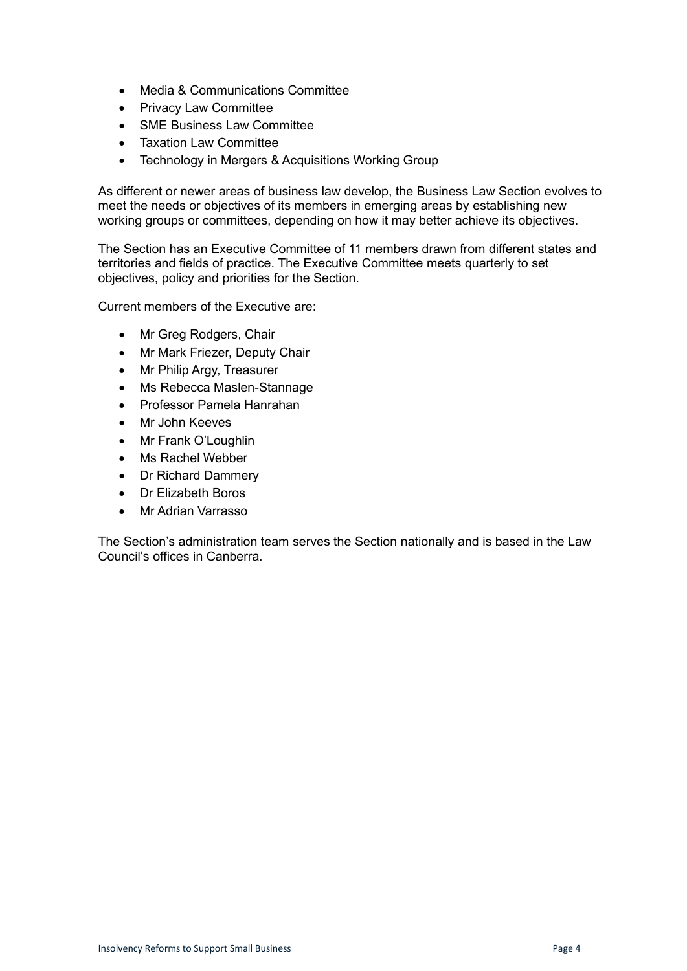- Media & Communications Committee
- Privacy Law Committee
- SME Business Law Committee
- Taxation Law Committee
- Technology in Mergers & Acquisitions Working Group

As different or newer areas of business law develop, the Business Law Section evolves to meet the needs or objectives of its members in emerging areas by establishing new working groups or committees, depending on how it may better achieve its objectives.

The Section has an Executive Committee of 11 members drawn from different states and territories and fields of practice. The Executive Committee meets quarterly to set objectives, policy and priorities for the Section.

Current members of the Executive are:

- Mr Greg Rodgers, Chair
- Mr Mark Friezer, Deputy Chair
- Mr Philip Argy, Treasurer
- Ms Rebecca Maslen-Stannage
- Professor Pamela Hanrahan
- Mr John Keeves
- Mr Frank O'Loughlin
- Ms Rachel Webber
- Dr Richard Dammery
- Dr Elizabeth Boros
- Mr Adrian Varrasso

The Section's administration team serves the Section nationally and is based in the Law Council's offices in Canberra.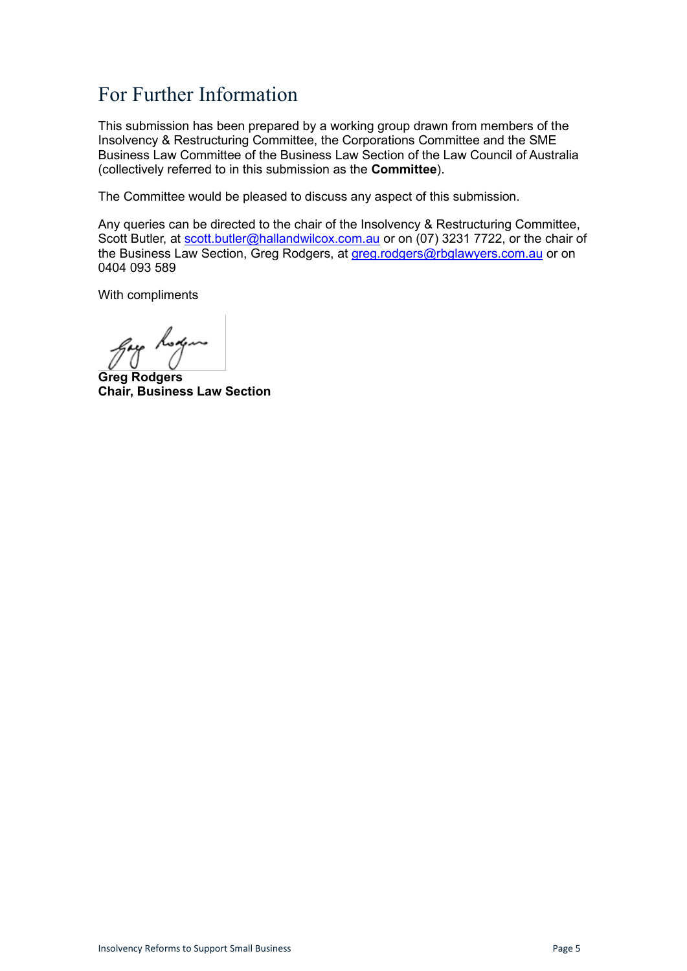# <span id="page-4-0"></span>For Further Information

This submission has been prepared by a working group drawn from members of the Insolvency & Restructuring Committee, the Corporations Committee and the SME Business Law Committee of the Business Law Section of the Law Council of Australia (collectively referred to in this submission as the **Committee**).

The Committee would be pleased to discuss any aspect of this submission.

Any queries can be directed to the chair of the Insolvency & Restructuring Committee, Scott Butler, at [scott.butler@hallandwilcox.com.au](mailto:scott.butler@hallandwilcox.com.au) or on (07) 3231 7722, or the chair of the Business Law Section, Greg Rodgers, at [greg.rodgers@rbglawyers.com.au](mailto:greg.rodgers@rbglawyers.com.au) or on 0404 093 589

With compliments

gay hoga

**Greg Rodgers Chair, Business Law Section**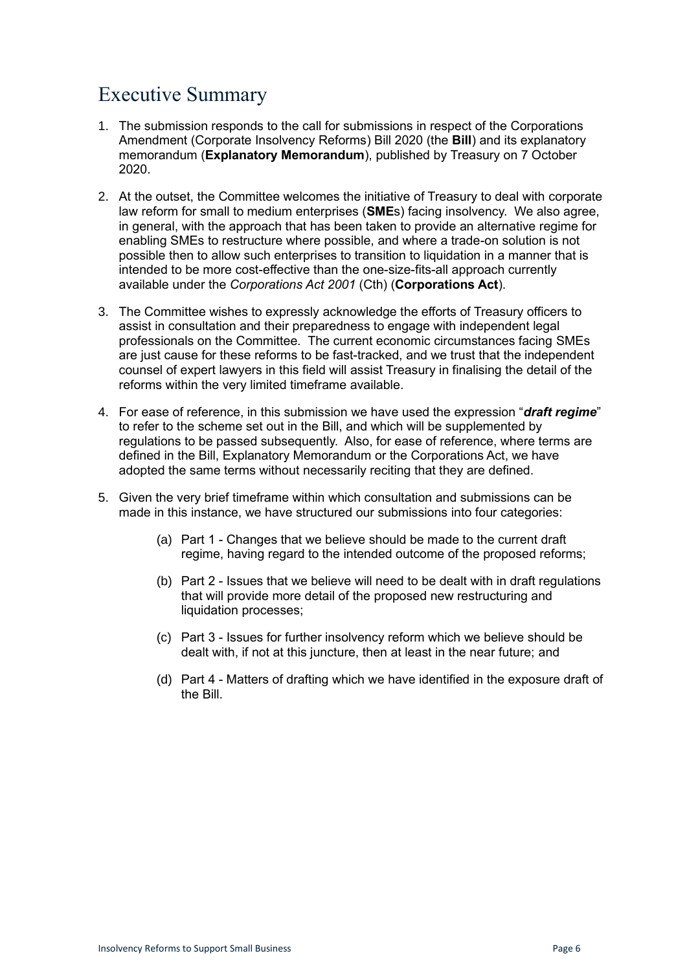# <span id="page-5-0"></span>Executive Summary

- 1. The submission responds to the call for submissions in respect of the Corporations Amendment (Corporate Insolvency Reforms) Bill 2020 (the **Bill**) and its explanatory memorandum (**Explanatory Memorandum**), published by Treasury on 7 October 2020.
- 2. At the outset, the Committee welcomes the initiative of Treasury to deal with corporate law reform for small to medium enterprises (**SME**s) facing insolvency. We also agree, in general, with the approach that has been taken to provide an alternative regime for enabling SMEs to restructure where possible, and where a trade-on solution is not possible then to allow such enterprises to transition to liquidation in a manner that is intended to be more cost-effective than the one-size-fits-all approach currently available under the *Corporations Act 2001* (Cth) (**Corporations Act**).
- 3. The Committee wishes to expressly acknowledge the efforts of Treasury officers to assist in consultation and their preparedness to engage with independent legal professionals on the Committee. The current economic circumstances facing SMEs are just cause for these reforms to be fast-tracked, and we trust that the independent counsel of expert lawyers in this field will assist Treasury in finalising the detail of the reforms within the very limited timeframe available.
- 4. For ease of reference, in this submission we have used the expression "*draft regime*" to refer to the scheme set out in the Bill, and which will be supplemented by regulations to be passed subsequently. Also, for ease of reference, where terms are defined in the Bill, Explanatory Memorandum or the Corporations Act, we have adopted the same terms without necessarily reciting that they are defined.
- 5. Given the very brief timeframe within which consultation and submissions can be made in this instance, we have structured our submissions into four categories:
	- (a) Part 1 Changes that we believe should be made to the current draft regime, having regard to the intended outcome of the proposed reforms;
	- (b) Part 2 Issues that we believe will need to be dealt with in draft regulations that will provide more detail of the proposed new restructuring and liquidation processes;
	- (c) Part 3 Issues for further insolvency reform which we believe should be dealt with, if not at this juncture, then at least in the near future; and
	- (d) Part 4 Matters of drafting which we have identified in the exposure draft of the Bill.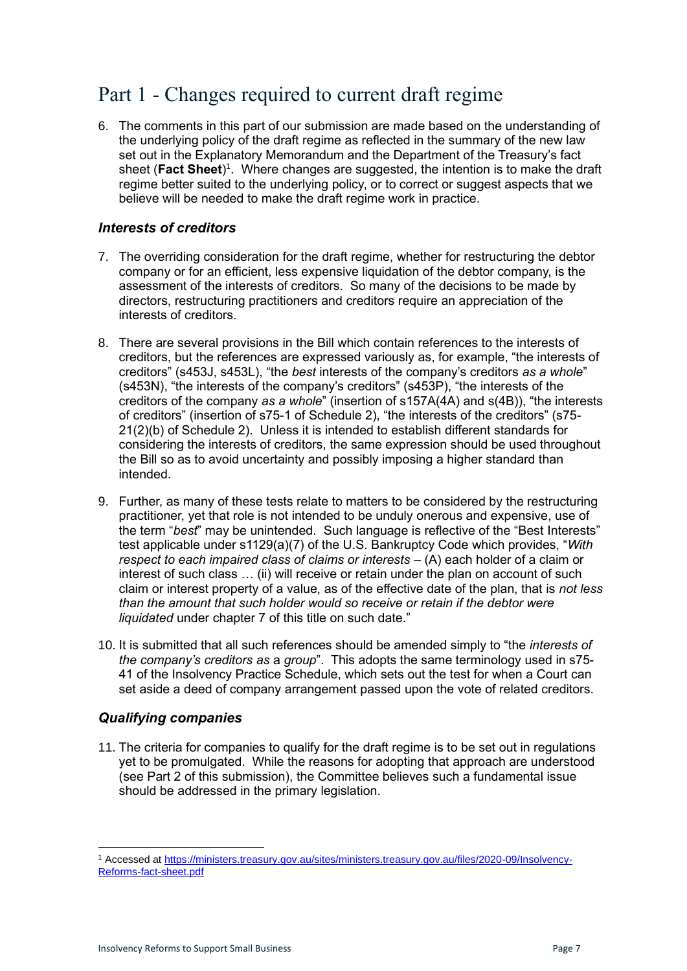### <span id="page-6-0"></span>Part 1 - Changes required to current draft regime

6. The comments in this part of our submission are made based on the understanding of the underlying policy of the draft regime as reflected in the summary of the new law set out in the Explanatory Memorandum and the Department of the Treasury's fact sheet (Fact Sheet)<sup>1</sup>. Where changes are suggested, the intention is to make the draft regime better suited to the underlying policy, or to correct or suggest aspects that we believe will be needed to make the draft regime work in practice.

#### <span id="page-6-1"></span>*Interests of creditors*

- 7. The overriding consideration for the draft regime, whether for restructuring the debtor company or for an efficient, less expensive liquidation of the debtor company, is the assessment of the interests of creditors. So many of the decisions to be made by directors, restructuring practitioners and creditors require an appreciation of the interests of creditors.
- 8. There are several provisions in the Bill which contain references to the interests of creditors, but the references are expressed variously as, for example, "the interests of creditors" (s453J, s453L), "the *best* interests of the company's creditors *as a whole*" (s453N), "the interests of the company's creditors" (s453P), "the interests of the creditors of the company *as a whole*" (insertion of s157A(4A) and s(4B)), "the interests of creditors" (insertion of s75-1 of Schedule 2), "the interests of the creditors" (s75- 21(2)(b) of Schedule 2). Unless it is intended to establish different standards for considering the interests of creditors, the same expression should be used throughout the Bill so as to avoid uncertainty and possibly imposing a higher standard than intended.
- 9. Further, as many of these tests relate to matters to be considered by the restructuring practitioner, yet that role is not intended to be unduly onerous and expensive, use of the term "*best*" may be unintended. Such language is reflective of the "Best Interests" test applicable under s1129(a)(7) of the U.S. Bankruptcy Code which provides, "*With respect to each impaired class of claims or interests* – (A) each holder of a claim or interest of such class … (ii) will receive or retain under the plan on account of such claim or interest property of a value, as of the effective date of the plan, that is *not less than the amount that such holder would so receive or retain if the debtor were liquidated* under chapter 7 of this title on such date."
- 10. It is submitted that all such references should be amended simply to "the *interests of the company's creditors as* a *group*". This adopts the same terminology used in s75- 41 of the Insolvency Practice Schedule, which sets out the test for when a Court can set aside a deed of company arrangement passed upon the vote of related creditors.

#### <span id="page-6-2"></span>*Qualifying companies*

11. The criteria for companies to qualify for the draft regime is to be set out in regulations yet to be promulgated. While the reasons for adopting that approach are understood (see Part 2 of this submission), the Committee believes such a fundamental issue should be addressed in the primary legislation.

<sup>1</sup> Accessed a[t https://ministers.treasury.gov.au/sites/ministers.treasury.gov.au/files/2020-09/Insolvency-](https://ministers.treasury.gov.au/sites/ministers.treasury.gov.au/files/2020-09/Insolvency-Reforms-fact-sheet.pdf)[Reforms-fact-sheet.pdf](https://ministers.treasury.gov.au/sites/ministers.treasury.gov.au/files/2020-09/Insolvency-Reforms-fact-sheet.pdf)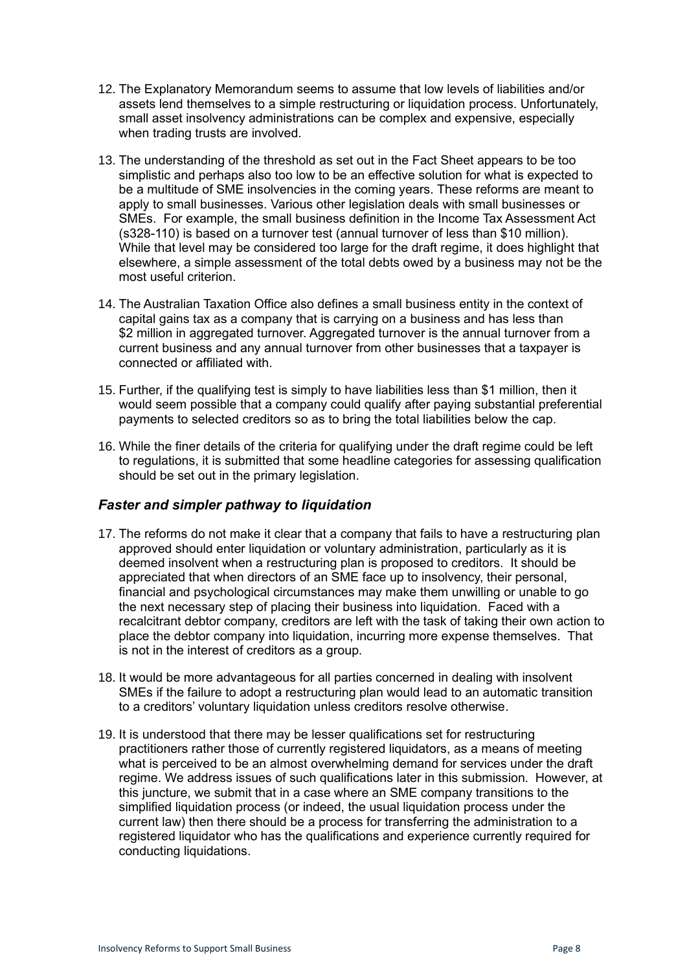- 12. The Explanatory Memorandum seems to assume that low levels of liabilities and/or assets lend themselves to a simple restructuring or liquidation process. Unfortunately, small asset insolvency administrations can be complex and expensive, especially when trading trusts are involved.
- 13. The understanding of the threshold as set out in the Fact Sheet appears to be too simplistic and perhaps also too low to be an effective solution for what is expected to be a multitude of SME insolvencies in the coming years. These reforms are meant to apply to small businesses. Various other legislation deals with small businesses or SMEs. For example, the small business definition in the Income Tax Assessment Act (s328-110) is based on a turnover test (annual turnover of less than \$10 million). While that level may be considered too large for the draft regime, it does highlight that elsewhere, a simple assessment of the total debts owed by a business may not be the most useful criterion.
- 14. The Australian Taxation Office also defines a small business entity in the context of capital gains tax as a company that is carrying on a business and has less than \$2 million in aggregated turnover. Aggregated turnover is the annual turnover from a current business and any annual turnover from other businesses that a taxpayer is connected or affiliated with.
- 15. Further, if the qualifying test is simply to have liabilities less than \$1 million, then it would seem possible that a company could qualify after paying substantial preferential payments to selected creditors so as to bring the total liabilities below the cap.
- 16. While the finer details of the criteria for qualifying under the draft regime could be left to regulations, it is submitted that some headline categories for assessing qualification should be set out in the primary legislation.

#### <span id="page-7-0"></span>*Faster and simpler pathway to liquidation*

- 17. The reforms do not make it clear that a company that fails to have a restructuring plan approved should enter liquidation or voluntary administration, particularly as it is deemed insolvent when a restructuring plan is proposed to creditors. It should be appreciated that when directors of an SME face up to insolvency, their personal, financial and psychological circumstances may make them unwilling or unable to go the next necessary step of placing their business into liquidation. Faced with a recalcitrant debtor company, creditors are left with the task of taking their own action to place the debtor company into liquidation, incurring more expense themselves. That is not in the interest of creditors as a group.
- 18. It would be more advantageous for all parties concerned in dealing with insolvent SMEs if the failure to adopt a restructuring plan would lead to an automatic transition to a creditors' voluntary liquidation unless creditors resolve otherwise.
- 19. It is understood that there may be lesser qualifications set for restructuring practitioners rather those of currently registered liquidators, as a means of meeting what is perceived to be an almost overwhelming demand for services under the draft regime. We address issues of such qualifications later in this submission. However, at this juncture, we submit that in a case where an SME company transitions to the simplified liquidation process (or indeed, the usual liquidation process under the current law) then there should be a process for transferring the administration to a registered liquidator who has the qualifications and experience currently required for conducting liquidations.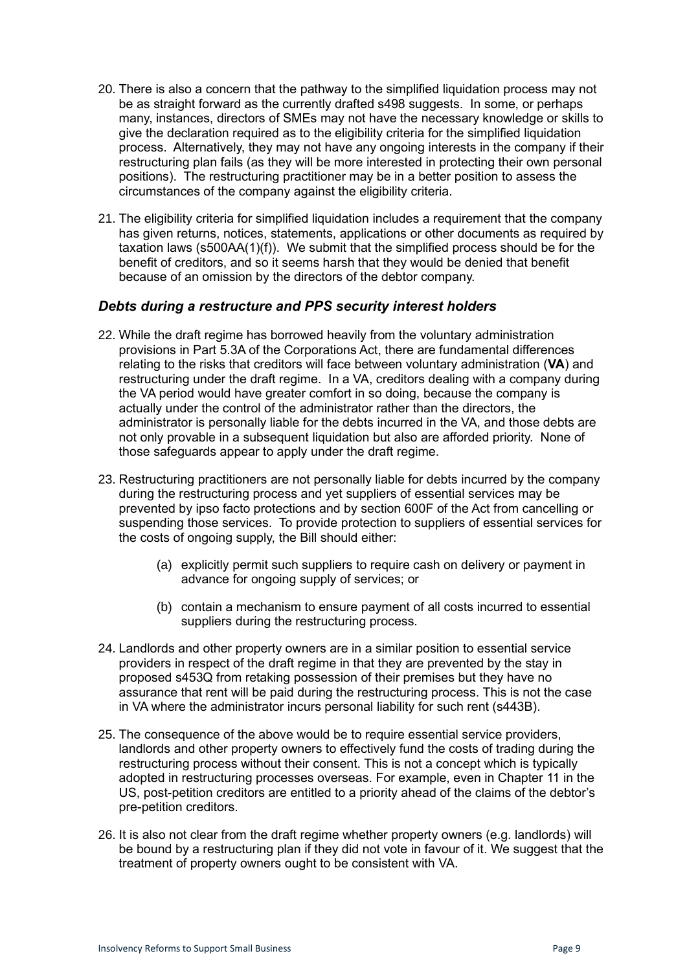- 20. There is also a concern that the pathway to the simplified liquidation process may not be as straight forward as the currently drafted s498 suggests. In some, or perhaps many, instances, directors of SMEs may not have the necessary knowledge or skills to give the declaration required as to the eligibility criteria for the simplified liquidation process. Alternatively, they may not have any ongoing interests in the company if their restructuring plan fails (as they will be more interested in protecting their own personal positions). The restructuring practitioner may be in a better position to assess the circumstances of the company against the eligibility criteria.
- 21. The eligibility criteria for simplified liquidation includes a requirement that the company has given returns, notices, statements, applications or other documents as required by taxation laws (s500AA(1)(f)). We submit that the simplified process should be for the benefit of creditors, and so it seems harsh that they would be denied that benefit because of an omission by the directors of the debtor company.

#### <span id="page-8-0"></span>*Debts during a restructure and PPS security interest holders*

- 22. While the draft regime has borrowed heavily from the voluntary administration provisions in Part 5.3A of the Corporations Act, there are fundamental differences relating to the risks that creditors will face between voluntary administration (**VA**) and restructuring under the draft regime. In a VA, creditors dealing with a company during the VA period would have greater comfort in so doing, because the company is actually under the control of the administrator rather than the directors, the administrator is personally liable for the debts incurred in the VA, and those debts are not only provable in a subsequent liquidation but also are afforded priority. None of those safeguards appear to apply under the draft regime.
- 23. Restructuring practitioners are not personally liable for debts incurred by the company during the restructuring process and yet suppliers of essential services may be prevented by ipso facto protections and by section 600F of the Act from cancelling or suspending those services. To provide protection to suppliers of essential services for the costs of ongoing supply, the Bill should either:
	- (a) explicitly permit such suppliers to require cash on delivery or payment in advance for ongoing supply of services; or
	- (b) contain a mechanism to ensure payment of all costs incurred to essential suppliers during the restructuring process.
- 24. Landlords and other property owners are in a similar position to essential service providers in respect of the draft regime in that they are prevented by the stay in proposed s453Q from retaking possession of their premises but they have no assurance that rent will be paid during the restructuring process. This is not the case in VA where the administrator incurs personal liability for such rent (s443B).
- 25. The consequence of the above would be to require essential service providers, landlords and other property owners to effectively fund the costs of trading during the restructuring process without their consent. This is not a concept which is typically adopted in restructuring processes overseas. For example, even in Chapter 11 in the US, post-petition creditors are entitled to a priority ahead of the claims of the debtor's pre-petition creditors.
- 26. It is also not clear from the draft regime whether property owners (e.g. landlords) will be bound by a restructuring plan if they did not vote in favour of it. We suggest that the treatment of property owners ought to be consistent with VA.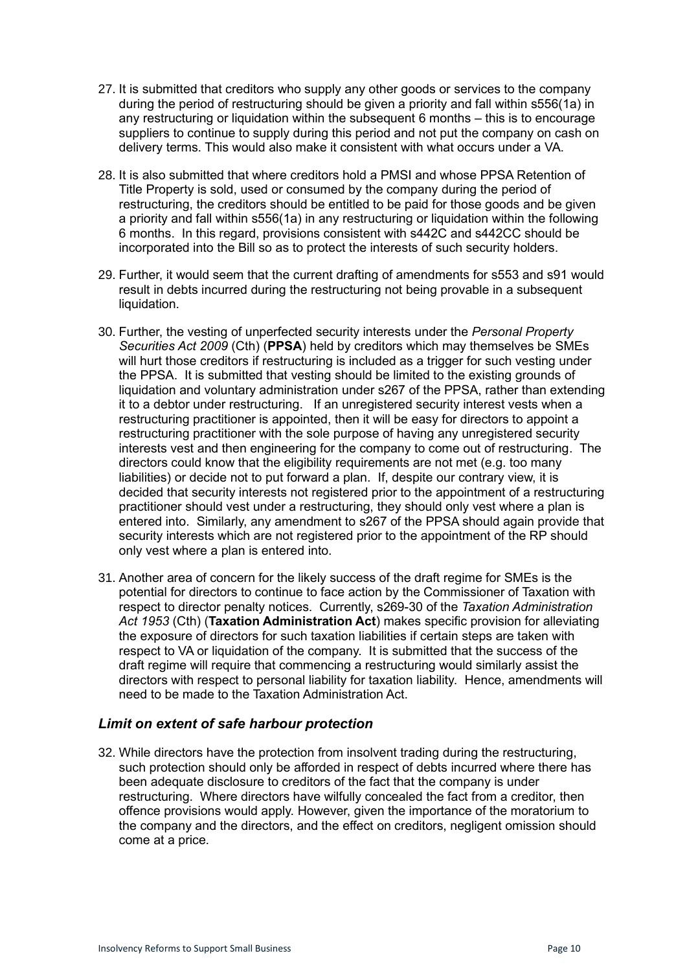- 27. It is submitted that creditors who supply any other goods or services to the company during the period of restructuring should be given a priority and fall within s556(1a) in any restructuring or liquidation within the subsequent 6 months – this is to encourage suppliers to continue to supply during this period and not put the company on cash on delivery terms. This would also make it consistent with what occurs under a VA.
- 28. It is also submitted that where creditors hold a PMSI and whose PPSA Retention of Title Property is sold, used or consumed by the company during the period of restructuring, the creditors should be entitled to be paid for those goods and be given a priority and fall within s556(1a) in any restructuring or liquidation within the following 6 months. In this regard, provisions consistent with s442C and s442CC should be incorporated into the Bill so as to protect the interests of such security holders.
- 29. Further, it would seem that the current drafting of amendments for s553 and s91 would result in debts incurred during the restructuring not being provable in a subsequent liquidation.
- 30. Further, the vesting of unperfected security interests under the *Personal Property Securities Act 2009* (Cth) (**PPSA**) held by creditors which may themselves be SMEs will hurt those creditors if restructuring is included as a trigger for such vesting under the PPSA. It is submitted that vesting should be limited to the existing grounds of liquidation and voluntary administration under s267 of the PPSA, rather than extending it to a debtor under restructuring. If an unregistered security interest vests when a restructuring practitioner is appointed, then it will be easy for directors to appoint a restructuring practitioner with the sole purpose of having any unregistered security interests vest and then engineering for the company to come out of restructuring. The directors could know that the eligibility requirements are not met (e.g. too many liabilities) or decide not to put forward a plan. If, despite our contrary view, it is decided that security interests not registered prior to the appointment of a restructuring practitioner should vest under a restructuring, they should only vest where a plan is entered into. Similarly, any amendment to s267 of the PPSA should again provide that security interests which are not registered prior to the appointment of the RP should only vest where a plan is entered into.
- 31. Another area of concern for the likely success of the draft regime for SMEs is the potential for directors to continue to face action by the Commissioner of Taxation with respect to director penalty notices. Currently, s269-30 of the *Taxation Administration Act 1953* (Cth) (**Taxation Administration Act**) makes specific provision for alleviating the exposure of directors for such taxation liabilities if certain steps are taken with respect to VA or liquidation of the company. It is submitted that the success of the draft regime will require that commencing a restructuring would similarly assist the directors with respect to personal liability for taxation liability. Hence, amendments will need to be made to the Taxation Administration Act.

#### <span id="page-9-0"></span>*Limit on extent of safe harbour protection*

32. While directors have the protection from insolvent trading during the restructuring, such protection should only be afforded in respect of debts incurred where there has been adequate disclosure to creditors of the fact that the company is under restructuring. Where directors have wilfully concealed the fact from a creditor, then offence provisions would apply. However, given the importance of the moratorium to the company and the directors, and the effect on creditors, negligent omission should come at a price.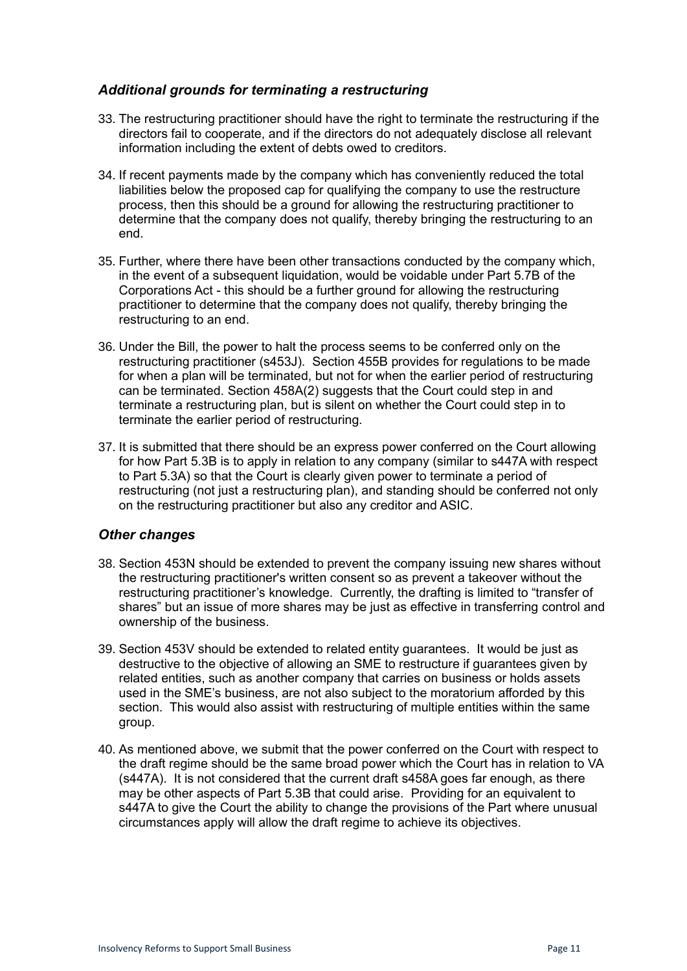#### <span id="page-10-0"></span>*Additional grounds for terminating a restructuring*

- 33. The restructuring practitioner should have the right to terminate the restructuring if the directors fail to cooperate, and if the directors do not adequately disclose all relevant information including the extent of debts owed to creditors.
- 34. If recent payments made by the company which has conveniently reduced the total liabilities below the proposed cap for qualifying the company to use the restructure process, then this should be a ground for allowing the restructuring practitioner to determine that the company does not qualify, thereby bringing the restructuring to an end.
- 35. Further, where there have been other transactions conducted by the company which, in the event of a subsequent liquidation, would be voidable under Part 5.7B of the Corporations Act - this should be a further ground for allowing the restructuring practitioner to determine that the company does not qualify, thereby bringing the restructuring to an end.
- 36. Under the Bill, the power to halt the process seems to be conferred only on the restructuring practitioner (s453J). Section 455B provides for regulations to be made for when a plan will be terminated, but not for when the earlier period of restructuring can be terminated. Section 458A(2) suggests that the Court could step in and terminate a restructuring plan, but is silent on whether the Court could step in to terminate the earlier period of restructuring.
- 37. It is submitted that there should be an express power conferred on the Court allowing for how Part 5.3B is to apply in relation to any company (similar to s447A with respect to Part 5.3A) so that the Court is clearly given power to terminate a period of restructuring (not just a restructuring plan), and standing should be conferred not only on the restructuring practitioner but also any creditor and ASIC.

#### <span id="page-10-1"></span>*Other changes*

- 38. Section 453N should be extended to prevent the company issuing new shares without the restructuring practitioner's written consent so as prevent a takeover without the restructuring practitioner's knowledge. Currently, the drafting is limited to "transfer of shares" but an issue of more shares may be just as effective in transferring control and ownership of the business.
- 39. Section 453V should be extended to related entity guarantees. It would be just as destructive to the objective of allowing an SME to restructure if guarantees given by related entities, such as another company that carries on business or holds assets used in the SME's business, are not also subject to the moratorium afforded by this section. This would also assist with restructuring of multiple entities within the same group.
- 40. As mentioned above, we submit that the power conferred on the Court with respect to the draft regime should be the same broad power which the Court has in relation to VA (s447A). It is not considered that the current draft s458A goes far enough, as there may be other aspects of Part 5.3B that could arise. Providing for an equivalent to s447A to give the Court the ability to change the provisions of the Part where unusual circumstances apply will allow the draft regime to achieve its objectives.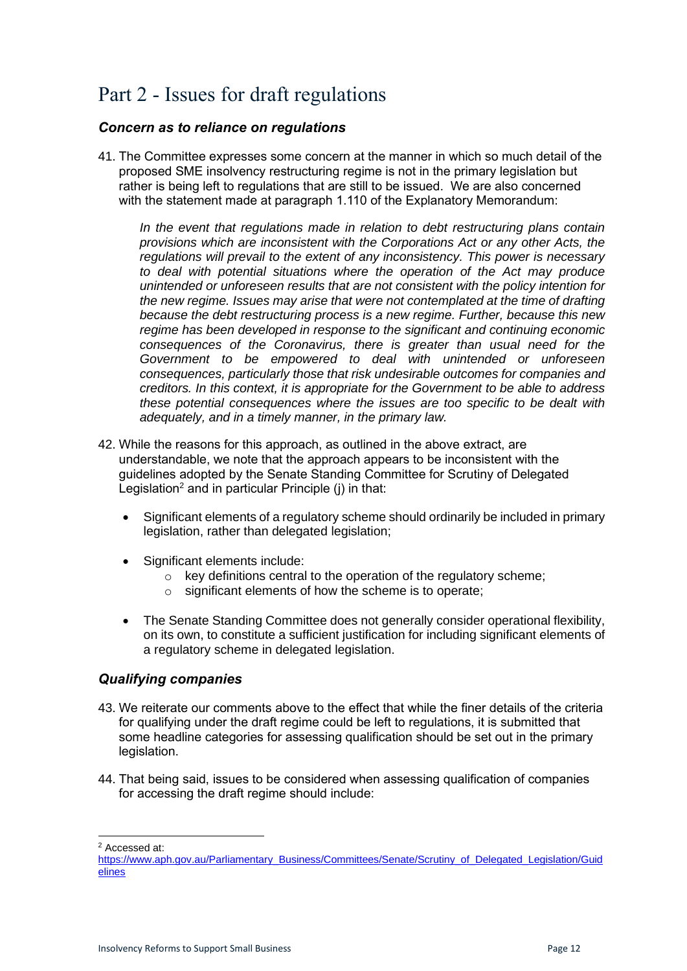# <span id="page-11-0"></span>Part 2 - Issues for draft regulations

#### <span id="page-11-1"></span>*Concern as to reliance on regulations*

41. The Committee expresses some concern at the manner in which so much detail of the proposed SME insolvency restructuring regime is not in the primary legislation but rather is being left to regulations that are still to be issued. We are also concerned with the statement made at paragraph 1.110 of the Explanatory Memorandum:

*In the event that regulations made in relation to debt restructuring plans contain provisions which are inconsistent with the Corporations Act or any other Acts, the regulations will prevail to the extent of any inconsistency. This power is necessary to deal with potential situations where the operation of the Act may produce unintended or unforeseen results that are not consistent with the policy intention for the new regime. Issues may arise that were not contemplated at the time of drafting because the debt restructuring process is a new regime. Further, because this new regime has been developed in response to the significant and continuing economic consequences of the Coronavirus, there is greater than usual need for the Government to be empowered to deal with unintended or unforeseen consequences, particularly those that risk undesirable outcomes for companies and creditors. In this context, it is appropriate for the Government to be able to address these potential consequences where the issues are too specific to be dealt with adequately, and in a timely manner, in the primary law.*

- 42. While the reasons for this approach, as outlined in the above extract, are understandable, we note that the approach appears to be inconsistent with the guidelines adopted by the Senate Standing Committee for Scrutiny of Delegated Legislation<sup>2</sup> and in particular Principle  $(i)$  in that:
	- Significant elements of a regulatory scheme should ordinarily be included in primary legislation, rather than delegated legislation;
	- Significant elements include:
		- $\circ$  key definitions central to the operation of the regulatory scheme:
		- o significant elements of how the scheme is to operate;
	- The Senate Standing Committee does not generally consider operational flexibility, on its own, to constitute a sufficient justification for including significant elements of a regulatory scheme in delegated legislation.

#### <span id="page-11-2"></span>*Qualifying companies*

- 43. We reiterate our comments above to the effect that while the finer details of the criteria for qualifying under the draft regime could be left to regulations, it is submitted that some headline categories for assessing qualification should be set out in the primary legislation.
- 44. That being said, issues to be considered when assessing qualification of companies for accessing the draft regime should include:

<sup>2</sup> Accessed at:

[https://www.aph.gov.au/Parliamentary\\_Business/Committees/Senate/Scrutiny\\_of\\_Delegated\\_Legislation/Guid](https://www.aph.gov.au/Parliamentary_Business/Committees/Senate/Scrutiny_of_Delegated_Legislation/Guidelines) [elines](https://www.aph.gov.au/Parliamentary_Business/Committees/Senate/Scrutiny_of_Delegated_Legislation/Guidelines)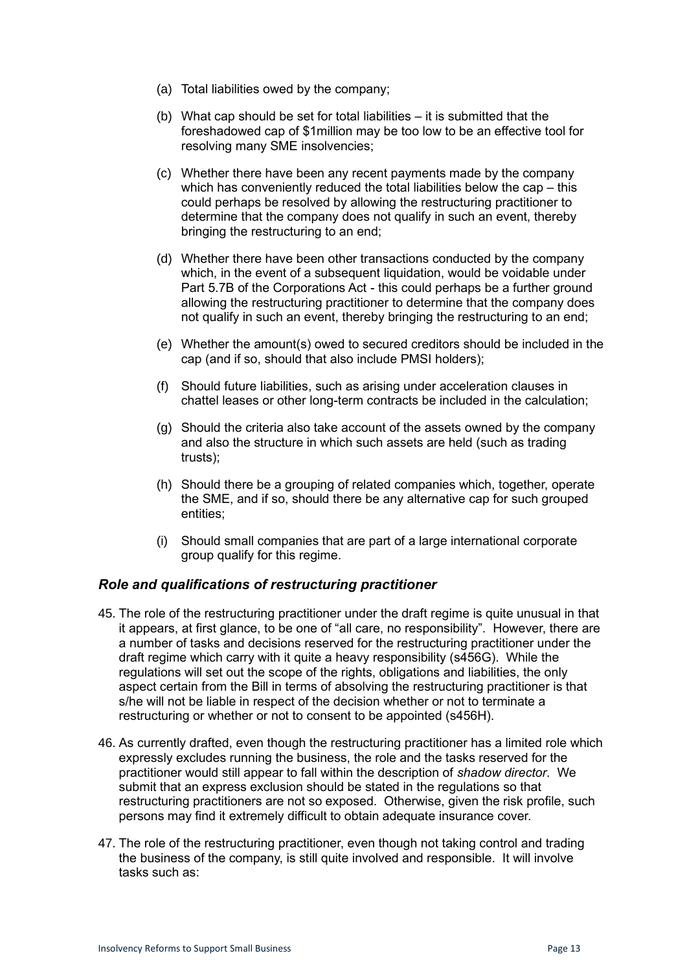- (a) Total liabilities owed by the company;
- (b) What cap should be set for total liabilities it is submitted that the foreshadowed cap of \$1million may be too low to be an effective tool for resolving many SME insolvencies;
- (c) Whether there have been any recent payments made by the company which has conveniently reduced the total liabilities below the cap – this could perhaps be resolved by allowing the restructuring practitioner to determine that the company does not qualify in such an event, thereby bringing the restructuring to an end;
- (d) Whether there have been other transactions conducted by the company which, in the event of a subsequent liquidation, would be voidable under Part 5.7B of the Corporations Act - this could perhaps be a further ground allowing the restructuring practitioner to determine that the company does not qualify in such an event, thereby bringing the restructuring to an end;
- (e) Whether the amount(s) owed to secured creditors should be included in the cap (and if so, should that also include PMSI holders);
- (f) Should future liabilities, such as arising under acceleration clauses in chattel leases or other long-term contracts be included in the calculation;
- (g) Should the criteria also take account of the assets owned by the company and also the structure in which such assets are held (such as trading trusts);
- (h) Should there be a grouping of related companies which, together, operate the SME, and if so, should there be any alternative cap for such grouped entities;
- (i) Should small companies that are part of a large international corporate group qualify for this regime.

#### <span id="page-12-0"></span>*Role and qualifications of restructuring practitioner*

- 45. The role of the restructuring practitioner under the draft regime is quite unusual in that it appears, at first glance, to be one of "all care, no responsibility". However, there are a number of tasks and decisions reserved for the restructuring practitioner under the draft regime which carry with it quite a heavy responsibility (s456G). While the regulations will set out the scope of the rights, obligations and liabilities, the only aspect certain from the Bill in terms of absolving the restructuring practitioner is that s/he will not be liable in respect of the decision whether or not to terminate a restructuring or whether or not to consent to be appointed (s456H).
- 46. As currently drafted, even though the restructuring practitioner has a limited role which expressly excludes running the business, the role and the tasks reserved for the practitioner would still appear to fall within the description of *shadow director*. We submit that an express exclusion should be stated in the regulations so that restructuring practitioners are not so exposed. Otherwise, given the risk profile, such persons may find it extremely difficult to obtain adequate insurance cover.
- 47. The role of the restructuring practitioner, even though not taking control and trading the business of the company, is still quite involved and responsible. It will involve tasks such as: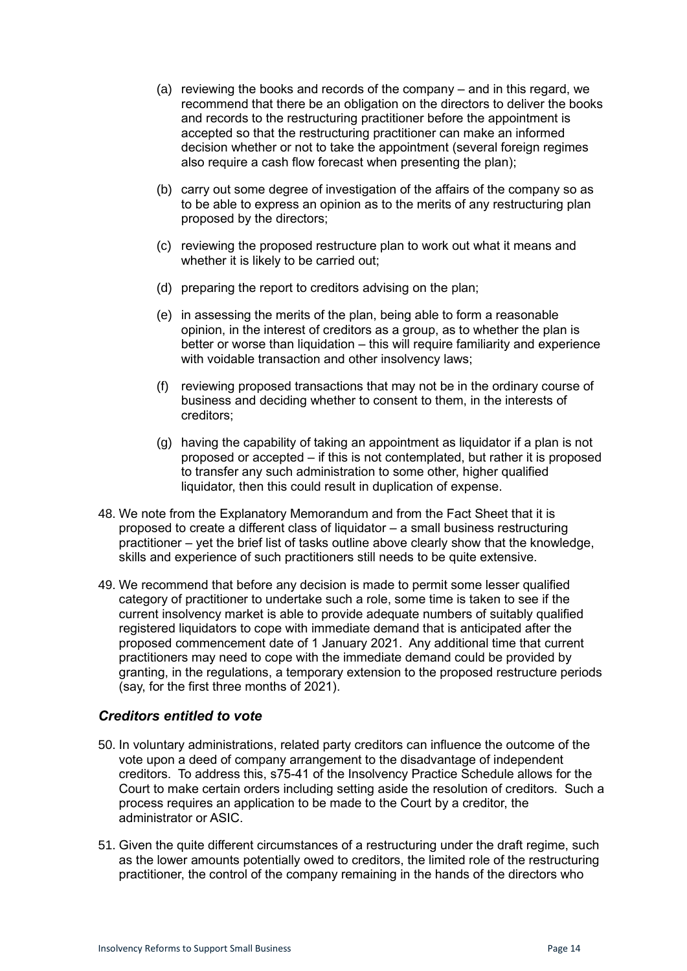- (a) reviewing the books and records of the company and in this regard, we recommend that there be an obligation on the directors to deliver the books and records to the restructuring practitioner before the appointment is accepted so that the restructuring practitioner can make an informed decision whether or not to take the appointment (several foreign regimes also require a cash flow forecast when presenting the plan);
- (b) carry out some degree of investigation of the affairs of the company so as to be able to express an opinion as to the merits of any restructuring plan proposed by the directors;
- (c) reviewing the proposed restructure plan to work out what it means and whether it is likely to be carried out:
- (d) preparing the report to creditors advising on the plan;
- (e) in assessing the merits of the plan, being able to form a reasonable opinion, in the interest of creditors as a group, as to whether the plan is better or worse than liquidation – this will require familiarity and experience with voidable transaction and other insolvency laws;
- (f) reviewing proposed transactions that may not be in the ordinary course of business and deciding whether to consent to them, in the interests of creditors;
- (g) having the capability of taking an appointment as liquidator if a plan is not proposed or accepted – if this is not contemplated, but rather it is proposed to transfer any such administration to some other, higher qualified liquidator, then this could result in duplication of expense.
- 48. We note from the Explanatory Memorandum and from the Fact Sheet that it is proposed to create a different class of liquidator – a small business restructuring practitioner – yet the brief list of tasks outline above clearly show that the knowledge, skills and experience of such practitioners still needs to be quite extensive.
- 49. We recommend that before any decision is made to permit some lesser qualified category of practitioner to undertake such a role, some time is taken to see if the current insolvency market is able to provide adequate numbers of suitably qualified registered liquidators to cope with immediate demand that is anticipated after the proposed commencement date of 1 January 2021. Any additional time that current practitioners may need to cope with the immediate demand could be provided by granting, in the regulations, a temporary extension to the proposed restructure periods (say, for the first three months of 2021).

#### <span id="page-13-0"></span>*Creditors entitled to vote*

- 50. In voluntary administrations, related party creditors can influence the outcome of the vote upon a deed of company arrangement to the disadvantage of independent creditors. To address this, s75-41 of the Insolvency Practice Schedule allows for the Court to make certain orders including setting aside the resolution of creditors. Such a process requires an application to be made to the Court by a creditor, the administrator or ASIC.
- 51. Given the quite different circumstances of a restructuring under the draft regime, such as the lower amounts potentially owed to creditors, the limited role of the restructuring practitioner, the control of the company remaining in the hands of the directors who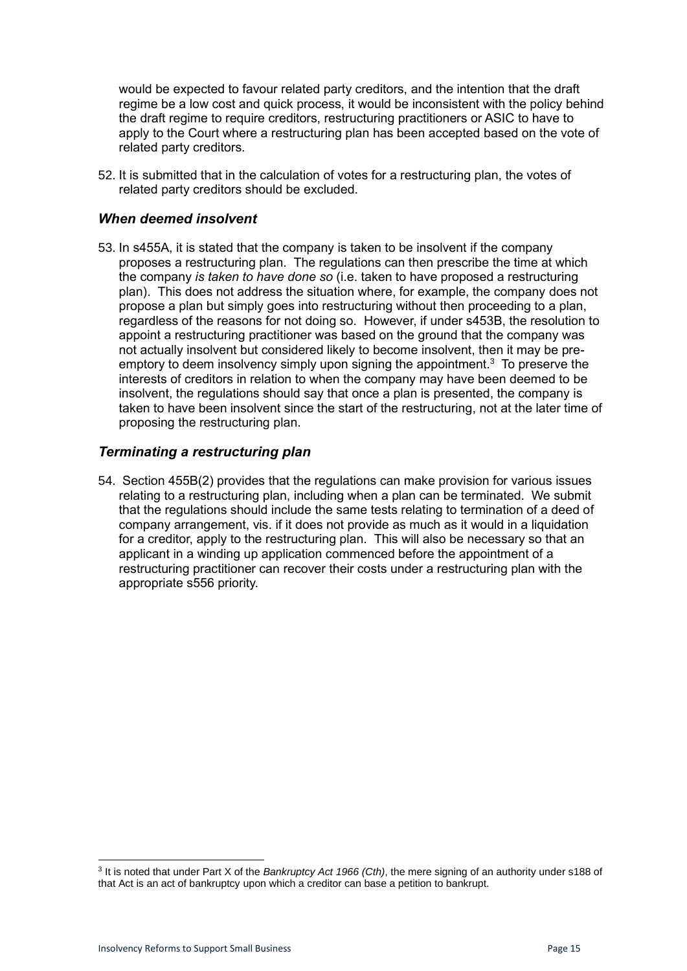would be expected to favour related party creditors, and the intention that the draft regime be a low cost and quick process, it would be inconsistent with the policy behind the draft regime to require creditors, restructuring practitioners or ASIC to have to apply to the Court where a restructuring plan has been accepted based on the vote of related party creditors.

52. It is submitted that in the calculation of votes for a restructuring plan, the votes of related party creditors should be excluded.

#### <span id="page-14-0"></span>*When deemed insolvent*

53. In s455A, it is stated that the company is taken to be insolvent if the company proposes a restructuring plan. The regulations can then prescribe the time at which the company *is taken to have done so* (i.e. taken to have proposed a restructuring plan). This does not address the situation where, for example, the company does not propose a plan but simply goes into restructuring without then proceeding to a plan, regardless of the reasons for not doing so. However, if under s453B, the resolution to appoint a restructuring practitioner was based on the ground that the company was not actually insolvent but considered likely to become insolvent, then it may be preemptory to deem insolvency simply upon signing the appointment.<sup>3</sup> To preserve the interests of creditors in relation to when the company may have been deemed to be insolvent, the regulations should say that once a plan is presented, the company is taken to have been insolvent since the start of the restructuring, not at the later time of proposing the restructuring plan.

#### <span id="page-14-1"></span>*Terminating a restructuring plan*

54. Section 455B(2) provides that the regulations can make provision for various issues relating to a restructuring plan, including when a plan can be terminated. We submit that the regulations should include the same tests relating to termination of a deed of company arrangement, vis. if it does not provide as much as it would in a liquidation for a creditor, apply to the restructuring plan. This will also be necessary so that an applicant in a winding up application commenced before the appointment of a restructuring practitioner can recover their costs under a restructuring plan with the appropriate s556 priority.

<sup>3</sup> It is noted that under Part X of the *Bankruptcy Act 1966 (Cth)*, the mere signing of an authority under s188 of that Act is an act of bankruptcy upon which a creditor can base a petition to bankrupt.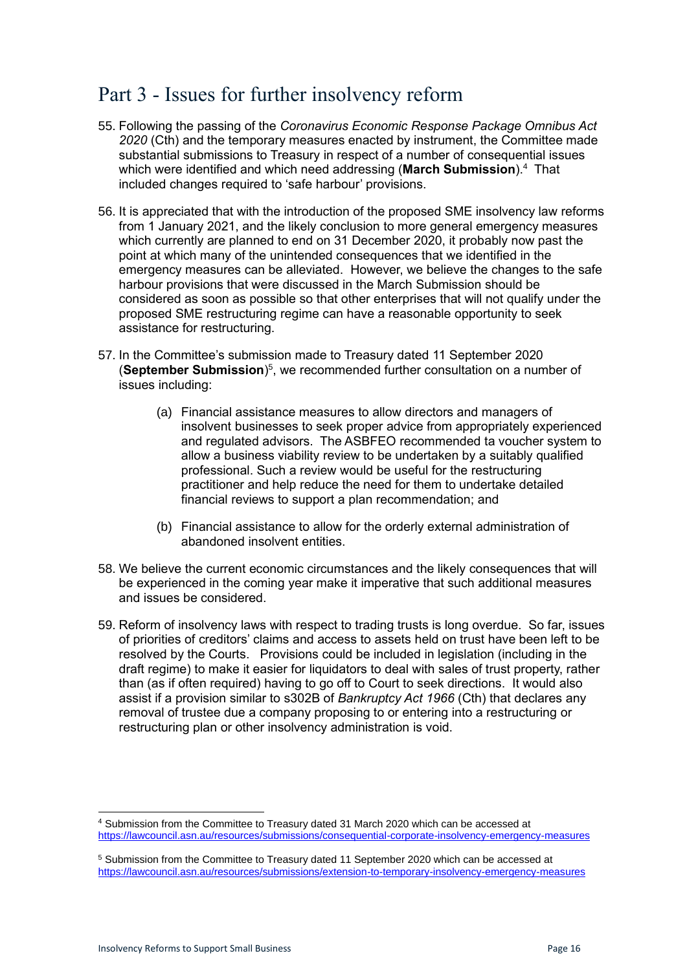### <span id="page-15-0"></span>Part 3 - Issues for further insolvency reform

- 55. Following the passing of the *Coronavirus Economic Response Package Omnibus Act 2020* (Cth) and the temporary measures enacted by instrument, the Committee made substantial submissions to Treasury in respect of a number of consequential issues which were identified and which need addressing (**March Submission**).<sup>4</sup> That included changes required to 'safe harbour' provisions.
- 56. It is appreciated that with the introduction of the proposed SME insolvency law reforms from 1 January 2021, and the likely conclusion to more general emergency measures which currently are planned to end on 31 December 2020, it probably now past the point at which many of the unintended consequences that we identified in the emergency measures can be alleviated. However, we believe the changes to the safe harbour provisions that were discussed in the March Submission should be considered as soon as possible so that other enterprises that will not qualify under the proposed SME restructuring regime can have a reasonable opportunity to seek assistance for restructuring.
- 57. In the Committee's submission made to Treasury dated 11 September 2020 (**September Submission**) 5 , we recommended further consultation on a number of issues including:
	- (a) Financial assistance measures to allow directors and managers of insolvent businesses to seek proper advice from appropriately experienced and regulated advisors. The ASBFEO recommended ta voucher system to allow a business viability review to be undertaken by a suitably qualified professional. Such a review would be useful for the restructuring practitioner and help reduce the need for them to undertake detailed financial reviews to support a plan recommendation; and
	- (b) Financial assistance to allow for the orderly external administration of abandoned insolvent entities.
- 58. We believe the current economic circumstances and the likely consequences that will be experienced in the coming year make it imperative that such additional measures and issues be considered.
- 59. Reform of insolvency laws with respect to trading trusts is long overdue. So far, issues of priorities of creditors' claims and access to assets held on trust have been left to be resolved by the Courts. Provisions could be included in legislation (including in the draft regime) to make it easier for liquidators to deal with sales of trust property, rather than (as if often required) having to go off to Court to seek directions. It would also assist if a provision similar to s302B of *Bankruptcy Act 1966* (Cth) that declares any removal of trustee due a company proposing to or entering into a restructuring or restructuring plan or other insolvency administration is void.

<sup>4</sup> Submission from the Committee to Treasury dated 31 March 2020 which can be accessed at <https://lawcouncil.asn.au/resources/submissions/consequential-corporate-insolvency-emergency-measures>

<sup>5</sup> Submission from the Committee to Treasury dated 11 September 2020 which can be accessed at <https://lawcouncil.asn.au/resources/submissions/extension-to-temporary-insolvency-emergency-measures>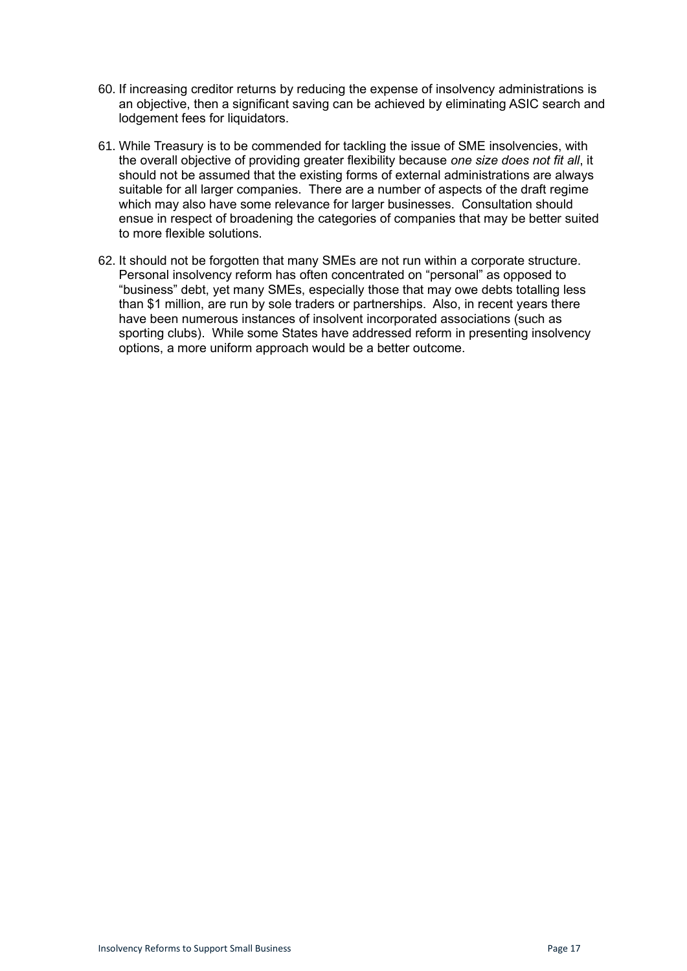- 60. If increasing creditor returns by reducing the expense of insolvency administrations is an objective, then a significant saving can be achieved by eliminating ASIC search and lodgement fees for liquidators.
- 61. While Treasury is to be commended for tackling the issue of SME insolvencies, with the overall objective of providing greater flexibility because *one size does not fit all*, it should not be assumed that the existing forms of external administrations are always suitable for all larger companies. There are a number of aspects of the draft regime which may also have some relevance for larger businesses. Consultation should ensue in respect of broadening the categories of companies that may be better suited to more flexible solutions.
- 62. It should not be forgotten that many SMEs are not run within a corporate structure. Personal insolvency reform has often concentrated on "personal" as opposed to "business" debt, yet many SMEs, especially those that may owe debts totalling less than \$1 million, are run by sole traders or partnerships. Also, in recent years there have been numerous instances of insolvent incorporated associations (such as sporting clubs). While some States have addressed reform in presenting insolvency options, a more uniform approach would be a better outcome.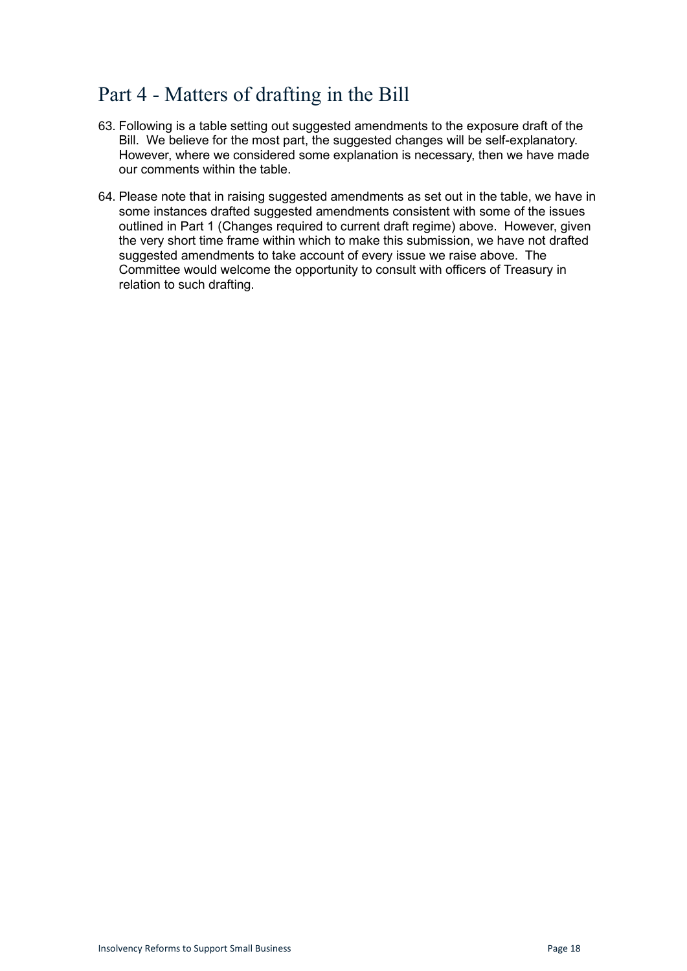# <span id="page-17-0"></span>Part 4 - Matters of drafting in the Bill

- 63. Following is a table setting out suggested amendments to the exposure draft of the Bill. We believe for the most part, the suggested changes will be self-explanatory. However, where we considered some explanation is necessary, then we have made our comments within the table.
- 64. Please note that in raising suggested amendments as set out in the table, we have in some instances drafted suggested amendments consistent with some of the issues outlined in Part 1 (Changes required to current draft regime) above. However, given the very short time frame within which to make this submission, we have not drafted suggested amendments to take account of every issue we raise above. The Committee would welcome the opportunity to consult with officers of Treasury in relation to such drafting.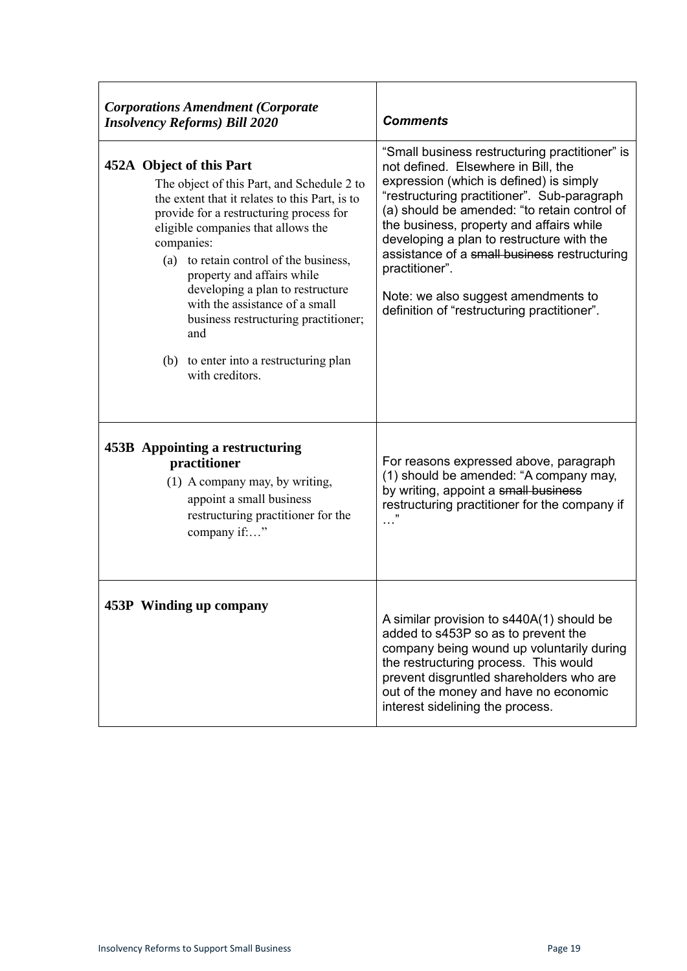| <b>Corporations Amendment (Corporate</b><br><b>Insolvency Reforms) Bill 2020</b>                                                                                                                                                                                                                                                                                                                                                                                                  | <b>Comments</b>                                                                                                                                                                                                                                                                                                                                                                                                                                                                  |
|-----------------------------------------------------------------------------------------------------------------------------------------------------------------------------------------------------------------------------------------------------------------------------------------------------------------------------------------------------------------------------------------------------------------------------------------------------------------------------------|----------------------------------------------------------------------------------------------------------------------------------------------------------------------------------------------------------------------------------------------------------------------------------------------------------------------------------------------------------------------------------------------------------------------------------------------------------------------------------|
| 452A Object of this Part<br>The object of this Part, and Schedule 2 to<br>the extent that it relates to this Part, is to<br>provide for a restructuring process for<br>eligible companies that allows the<br>companies:<br>(a) to retain control of the business,<br>property and affairs while<br>developing a plan to restructure<br>with the assistance of a small<br>business restructuring practitioner;<br>and<br>(b) to enter into a restructuring plan<br>with creditors. | "Small business restructuring practitioner" is<br>not defined. Elsewhere in Bill, the<br>expression (which is defined) is simply<br>"restructuring practitioner". Sub-paragraph<br>(a) should be amended: "to retain control of<br>the business, property and affairs while<br>developing a plan to restructure with the<br>assistance of a small business restructuring<br>practitioner".<br>Note: we also suggest amendments to<br>definition of "restructuring practitioner". |
| 453B Appointing a restructuring<br>practitioner<br>(1) A company may, by writing,<br>appoint a small business<br>restructuring practitioner for the<br>company if:"                                                                                                                                                                                                                                                                                                               | For reasons expressed above, paragraph<br>(1) should be amended: "A company may,<br>by writing, appoint a small business<br>restructuring practitioner for the company if                                                                                                                                                                                                                                                                                                        |
| 453P Winding up company                                                                                                                                                                                                                                                                                                                                                                                                                                                           | A similar provision to s440A(1) should be<br>added to s453P so as to prevent the<br>company being wound up voluntarily during<br>the restructuring process. This would<br>prevent disgruntled shareholders who are<br>out of the money and have no economic<br>interest sidelining the process.                                                                                                                                                                                  |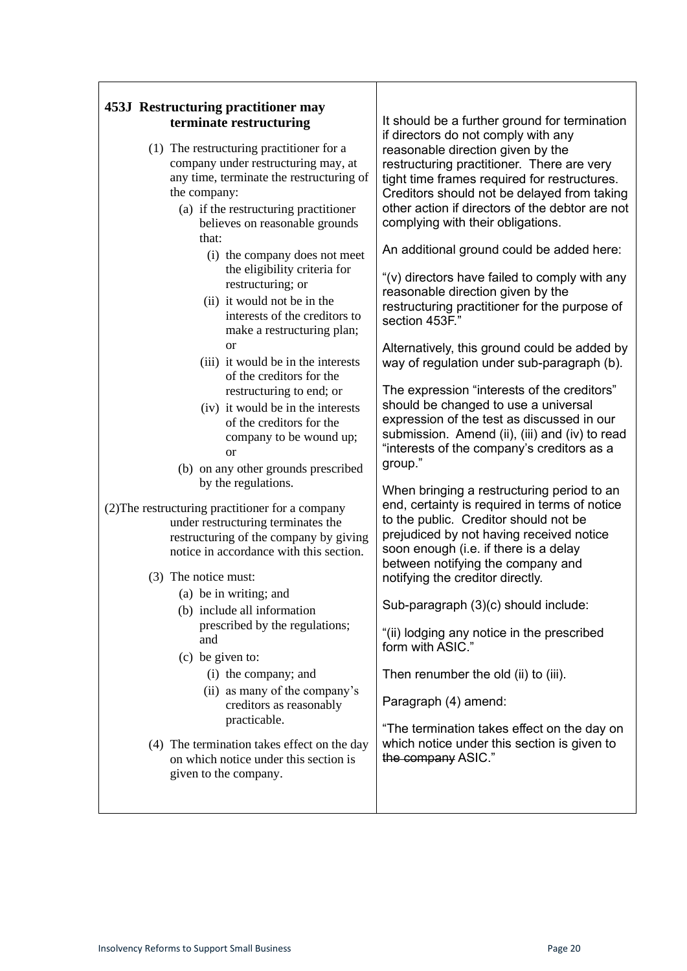$\mathbf{r}$ 

 $\overline{\phantom{a}}$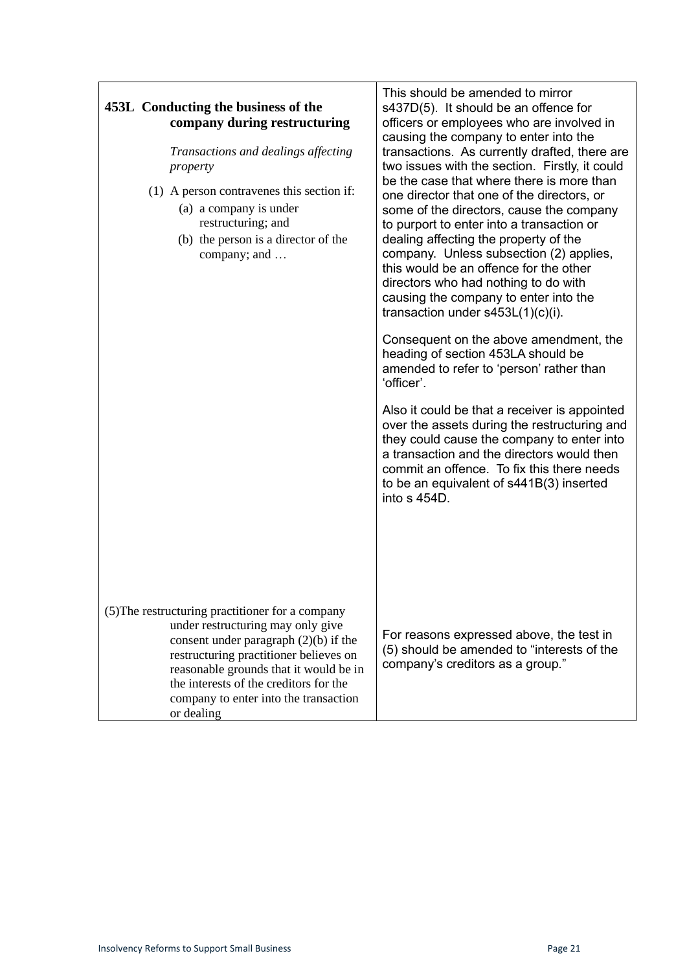| 453L Conducting the business of the<br>company during restructuring<br>Transactions and dealings affecting<br>property<br>(1) A person contravenes this section if:<br>(a) a company is under<br>restructuring; and<br>(b) the person is a director of the<br>company; and                                            | This should be amended to mirror<br>s437D(5). It should be an offence for<br>officers or employees who are involved in<br>causing the company to enter into the<br>transactions. As currently drafted, there are<br>two issues with the section. Firstly, it could<br>be the case that where there is more than<br>one director that one of the directors, or<br>some of the directors, cause the company<br>to purport to enter into a transaction or<br>dealing affecting the property of the<br>company. Unless subsection (2) applies,<br>this would be an offence for the other<br>directors who had nothing to do with<br>causing the company to enter into the<br>transaction under $s453L(1)(c)(i)$ .<br>Consequent on the above amendment, the<br>heading of section 453LA should be<br>amended to refer to 'person' rather than<br>'officer'.<br>Also it could be that a receiver is appointed<br>over the assets during the restructuring and<br>they could cause the company to enter into<br>a transaction and the directors would then<br>commit an offence. To fix this there needs<br>to be an equivalent of s441B(3) inserted<br>into s 454D. |
|-----------------------------------------------------------------------------------------------------------------------------------------------------------------------------------------------------------------------------------------------------------------------------------------------------------------------|----------------------------------------------------------------------------------------------------------------------------------------------------------------------------------------------------------------------------------------------------------------------------------------------------------------------------------------------------------------------------------------------------------------------------------------------------------------------------------------------------------------------------------------------------------------------------------------------------------------------------------------------------------------------------------------------------------------------------------------------------------------------------------------------------------------------------------------------------------------------------------------------------------------------------------------------------------------------------------------------------------------------------------------------------------------------------------------------------------------------------------------------------------------|
| (5) The restructuring practitioner for a company<br>under restructuring may only give<br>consent under paragraph $(2)(b)$ if the<br>restructuring practitioner believes on<br>reasonable grounds that it would be in<br>the interests of the creditors for the<br>company to enter into the transaction<br>or dealing | For reasons expressed above, the test in<br>(5) should be amended to "interests of the<br>company's creditors as a group."                                                                                                                                                                                                                                                                                                                                                                                                                                                                                                                                                                                                                                                                                                                                                                                                                                                                                                                                                                                                                                     |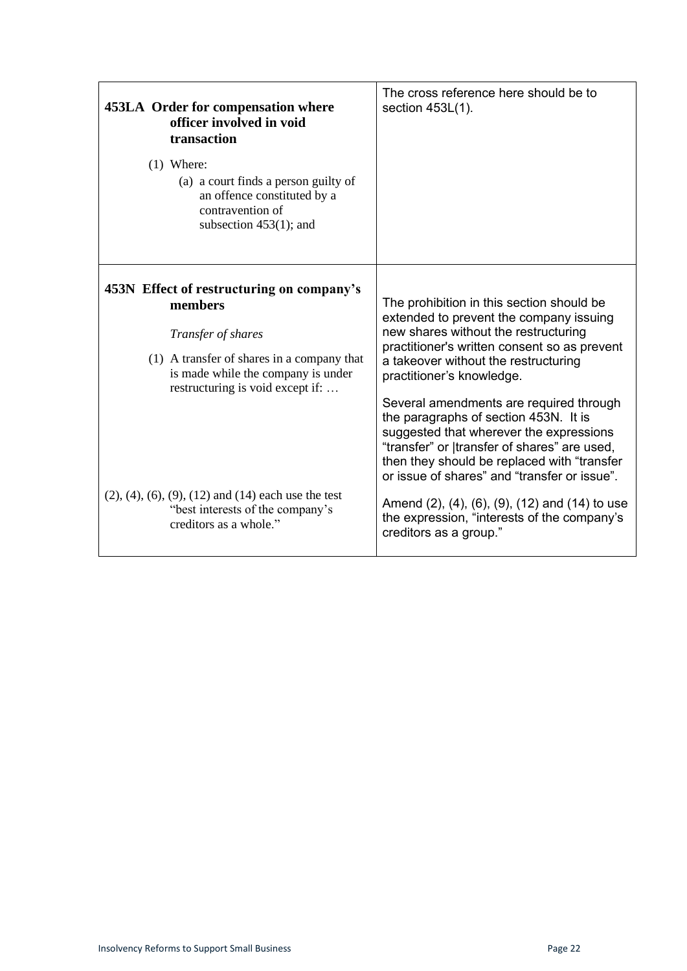| 453LA Order for compensation where<br>officer involved in void<br>transaction<br>$(1)$ Where:<br>(a) a court finds a person guilty of<br>an offence constituted by a<br>contravention of<br>subsection $453(1)$ ; and                                                                                                                   | The cross reference here should be to<br>section 453L(1).                                                                                                                                                                                                                                                                                                                                                                                                                                                                                                                                                                                                  |
|-----------------------------------------------------------------------------------------------------------------------------------------------------------------------------------------------------------------------------------------------------------------------------------------------------------------------------------------|------------------------------------------------------------------------------------------------------------------------------------------------------------------------------------------------------------------------------------------------------------------------------------------------------------------------------------------------------------------------------------------------------------------------------------------------------------------------------------------------------------------------------------------------------------------------------------------------------------------------------------------------------------|
| 453N Effect of restructuring on company's<br>members<br>Transfer of shares<br>(1) A transfer of shares in a company that<br>is made while the company is under<br>restructuring is void except if:<br>$(2)$ , $(4)$ , $(6)$ , $(9)$ , $(12)$ and $(14)$ each use the test<br>"best interests of the company's<br>creditors as a whole." | The prohibition in this section should be<br>extended to prevent the company issuing<br>new shares without the restructuring<br>practitioner's written consent so as prevent<br>a takeover without the restructuring<br>practitioner's knowledge.<br>Several amendments are required through<br>the paragraphs of section 453N. It is<br>suggested that wherever the expressions<br>"transfer" or  transfer of shares" are used,<br>then they should be replaced with "transfer<br>or issue of shares" and "transfer or issue".<br>Amend (2), (4), (6), (9), (12) and (14) to use<br>the expression, "interests of the company's<br>creditors as a group." |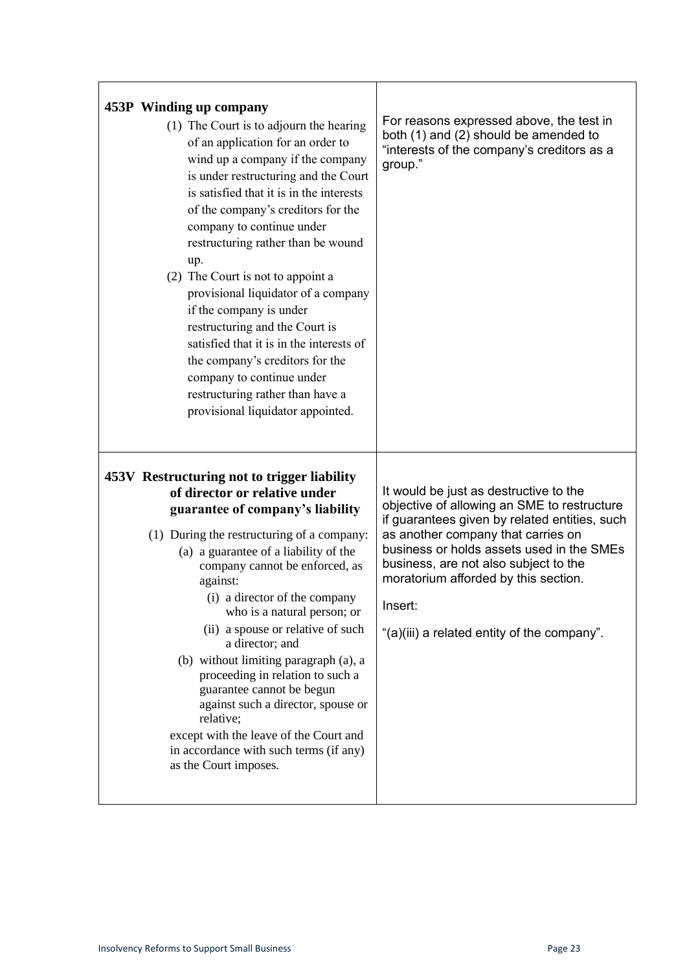| 453P Winding up company<br>(1) The Court is to adjourn the hearing<br>of an application for an order to<br>wind up a company if the company<br>is under restructuring and the Court<br>is satisfied that it is in the interests<br>of the company's creditors for the<br>company to continue under<br>restructuring rather than be wound<br>up.<br>(2) The Court is not to appoint a<br>provisional liquidator of a company<br>if the company is under<br>restructuring and the Court is<br>satisfied that it is in the interests of<br>the company's creditors for the<br>company to continue under<br>restructuring rather than have a<br>provisional liquidator appointed. | For reasons expressed above, the test in<br>both (1) and (2) should be amended to<br>"interests of the company's creditors as a<br>group."                                                                                                                                                                                                                           |
|-------------------------------------------------------------------------------------------------------------------------------------------------------------------------------------------------------------------------------------------------------------------------------------------------------------------------------------------------------------------------------------------------------------------------------------------------------------------------------------------------------------------------------------------------------------------------------------------------------------------------------------------------------------------------------|----------------------------------------------------------------------------------------------------------------------------------------------------------------------------------------------------------------------------------------------------------------------------------------------------------------------------------------------------------------------|
| 453V Restructuring not to trigger liability<br>of director or relative under<br>guarantee of company's liability<br>(1) During the restructuring of a company:<br>(a) a guarantee of a liability of the<br>company cannot be enforced, as<br>against:<br>(i) a director of the company<br>who is a natural person; or<br>(ii) a spouse or relative of such<br>a director; and<br>(b) without limiting paragraph (a), a<br>proceeding in relation to such a<br>guarantee cannot be begun<br>against such a director, spouse or<br>relative;<br>except with the leave of the Court and<br>in accordance with such terms (if any)<br>as the Court imposes.                       | It would be just as destructive to the<br>objective of allowing an SME to restructure<br>if guarantees given by related entities, such<br>as another company that carries on<br>business or holds assets used in the SMEs<br>business, are not also subject to the<br>moratorium afforded by this section.<br>Insert:<br>"(a)(iii) a related entity of the company". |

 $\overline{1}$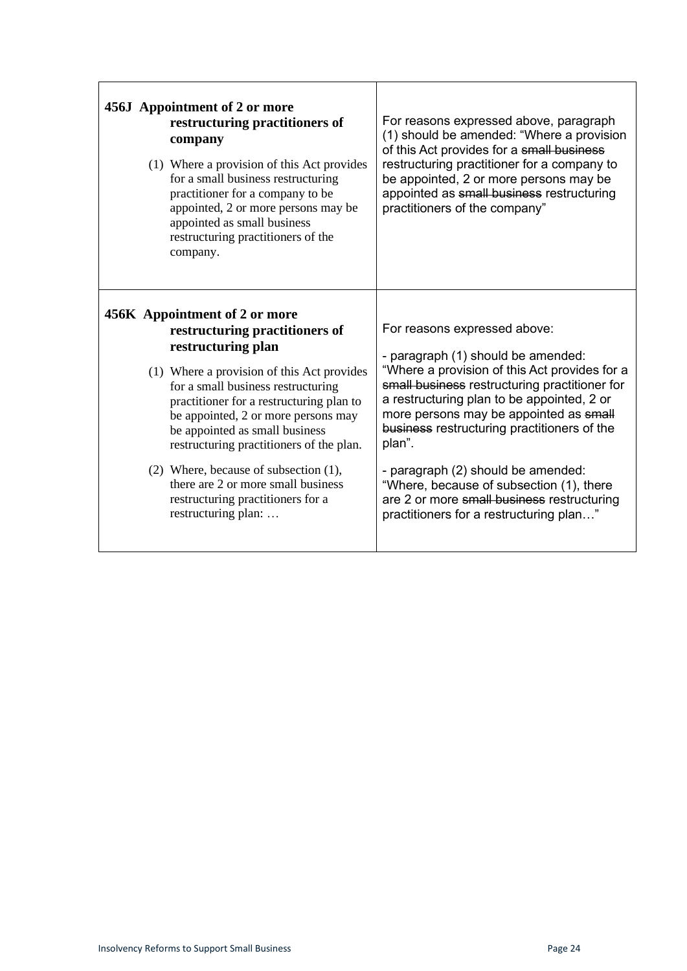| 456J Appointment of 2 or more<br>restructuring practitioners of<br>company<br>(1) Where a provision of this Act provides<br>for a small business restructuring<br>practitioner for a company to be<br>appointed, 2 or more persons may be<br>appointed as small business<br>restructuring practitioners of the<br>company.                                                                                                                                                            | For reasons expressed above, paragraph<br>(1) should be amended: "Where a provision<br>of this Act provides for a small business<br>restructuring practitioner for a company to<br>be appointed, 2 or more persons may be<br>appointed as small business restructuring<br>practitioners of the company"                                                                                                                                                                                          |
|---------------------------------------------------------------------------------------------------------------------------------------------------------------------------------------------------------------------------------------------------------------------------------------------------------------------------------------------------------------------------------------------------------------------------------------------------------------------------------------|--------------------------------------------------------------------------------------------------------------------------------------------------------------------------------------------------------------------------------------------------------------------------------------------------------------------------------------------------------------------------------------------------------------------------------------------------------------------------------------------------|
| 456K Appointment of 2 or more<br>restructuring practitioners of<br>restructuring plan<br>(1) Where a provision of this Act provides<br>for a small business restructuring<br>practitioner for a restructuring plan to<br>be appointed, 2 or more persons may<br>be appointed as small business<br>restructuring practitioners of the plan.<br>(2) Where, because of subsection (1),<br>there are 2 or more small business<br>restructuring practitioners for a<br>restructuring plan: | For reasons expressed above:<br>- paragraph (1) should be amended:<br>"Where a provision of this Act provides for a<br>small business restructuring practitioner for<br>a restructuring plan to be appointed, 2 or<br>more persons may be appointed as small<br>business restructuring practitioners of the<br>plan".<br>- paragraph (2) should be amended:<br>"Where, because of subsection (1), there<br>are 2 or more small business restructuring<br>practitioners for a restructuring plan" |

 $\Gamma$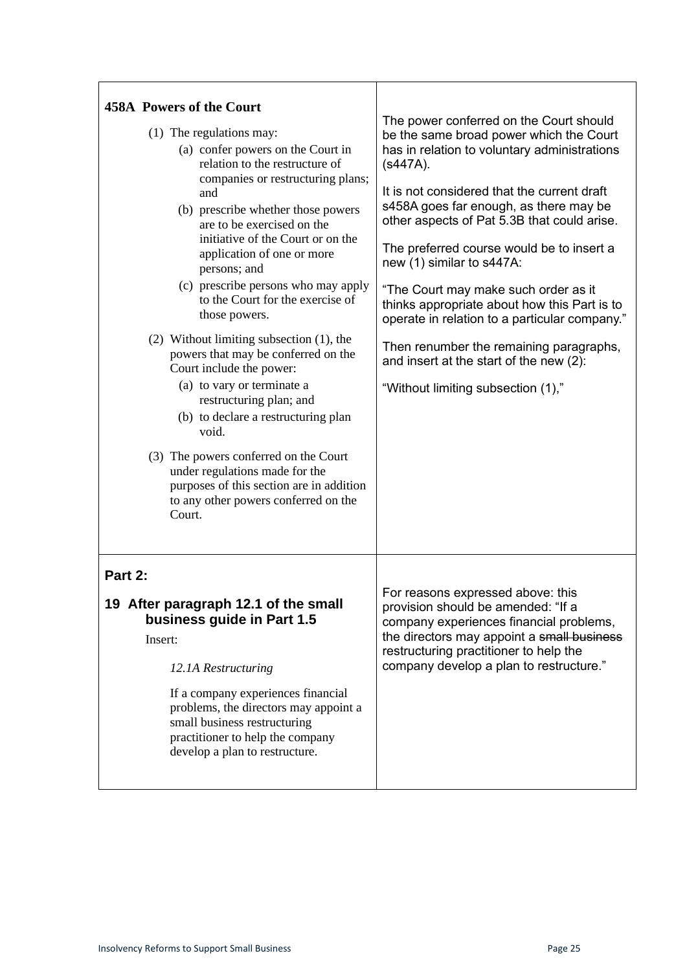| <b>458A Powers of the Court</b><br>(1) The regulations may:<br>(a) confer powers on the Court in<br>relation to the restructure of<br>companies or restructuring plans;<br>and<br>(b) prescribe whether those powers<br>are to be exercised on the<br>initiative of the Court or on the<br>application of one or more<br>persons; and<br>(c) prescribe persons who may apply<br>to the Court for the exercise of<br>those powers.<br>$(2)$ Without limiting subsection $(1)$ , the<br>powers that may be conferred on the<br>Court include the power:<br>(a) to vary or terminate a<br>restructuring plan; and<br>(b) to declare a restructuring plan | The power conferred on the Court should<br>be the same broad power which the Court<br>has in relation to voluntary administrations<br>$(s447A)$ .<br>It is not considered that the current draft<br>s458A goes far enough, as there may be<br>other aspects of Pat 5.3B that could arise.<br>The preferred course would be to insert a<br>new (1) similar to s447A:<br>"The Court may make such order as it<br>thinks appropriate about how this Part is to<br>operate in relation to a particular company."<br>Then renumber the remaining paragraphs,<br>and insert at the start of the new (2):<br>"Without limiting subsection (1)," |
|-------------------------------------------------------------------------------------------------------------------------------------------------------------------------------------------------------------------------------------------------------------------------------------------------------------------------------------------------------------------------------------------------------------------------------------------------------------------------------------------------------------------------------------------------------------------------------------------------------------------------------------------------------|------------------------------------------------------------------------------------------------------------------------------------------------------------------------------------------------------------------------------------------------------------------------------------------------------------------------------------------------------------------------------------------------------------------------------------------------------------------------------------------------------------------------------------------------------------------------------------------------------------------------------------------|
| void.<br>(3) The powers conferred on the Court<br>under regulations made for the<br>purposes of this section are in addition<br>to any other powers conferred on the<br>Court.<br>Part 2:<br>19 After paragraph 12.1 of the small<br>business guide in Part 1.5<br>Insert:<br>12.1A Restructuring<br>If a company experiences financial<br>problems, the directors may appoint a<br>small business restructuring<br>practitioner to help the company<br>develop a plan to restructure.                                                                                                                                                                | For reasons expressed above: this<br>provision should be amended: "If a<br>company experiences financial problems,<br>the directors may appoint a small business<br>restructuring practitioner to help the<br>company develop a plan to restructure."                                                                                                                                                                                                                                                                                                                                                                                    |

 $\mathbf{r}$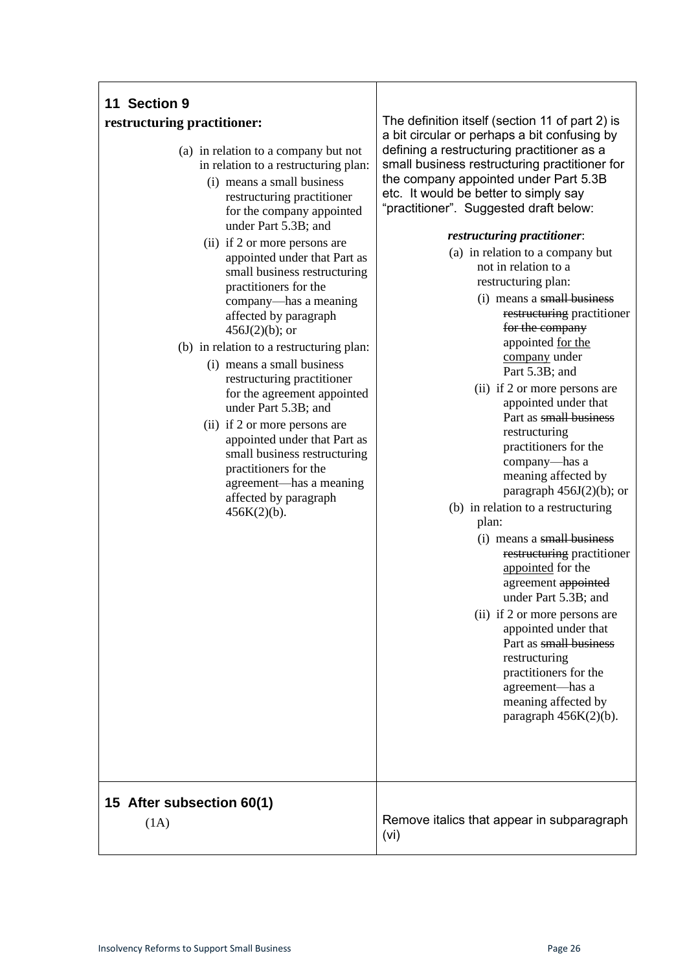| 11 Section 9<br>restructuring practitioner:<br>(a) in relation to a company but not<br>in relation to a restructuring plan:<br>(i) means a small business<br>restructuring practitioner<br>for the company appointed<br>under Part 5.3B; and<br>(ii) if 2 or more persons are<br>appointed under that Part as<br>small business restructuring<br>practitioners for the<br>company—has a meaning<br>affected by paragraph<br>$456J(2)(b)$ ; or<br>(b) in relation to a restructuring plan:<br>(i) means a small business<br>restructuring practitioner<br>for the agreement appointed<br>under Part 5.3B; and<br>(ii) if 2 or more persons are<br>appointed under that Part as<br>small business restructuring<br>practitioners for the<br>agreement-has a meaning<br>affected by paragraph<br>$456K(2)(b)$ . | The definition itself (section 11 of part 2) is<br>a bit circular or perhaps a bit confusing by<br>defining a restructuring practitioner as a<br>small business restructuring practitioner for<br>the company appointed under Part 5.3B<br>etc. It would be better to simply say<br>"practitioner". Suggested draft below:<br>restructuring practitioner:<br>(a) in relation to a company but<br>not in relation to a<br>restructuring plan:<br>(i) means a small business<br>restructuring practitioner<br>for the company<br>appointed for the<br>company under<br>Part 5.3B; and<br>(ii) if 2 or more persons are<br>appointed under that<br>Part as small business<br>restructuring<br>practitioners for the<br>company-has a<br>meaning affected by<br>paragraph $456J(2)(b)$ ; or<br>(b) in relation to a restructuring<br>plan:<br>(i) means a small business<br>restructuring practitioner<br>appointed for the<br>agreement appointed<br>under Part 5.3B; and<br>(ii) if 2 or more persons are<br>appointed under that<br>Part as small business<br>restructuring<br>practitioners for the<br>agreement-has a<br>meaning affected by<br>paragraph $456K(2)(b)$ . |
|--------------------------------------------------------------------------------------------------------------------------------------------------------------------------------------------------------------------------------------------------------------------------------------------------------------------------------------------------------------------------------------------------------------------------------------------------------------------------------------------------------------------------------------------------------------------------------------------------------------------------------------------------------------------------------------------------------------------------------------------------------------------------------------------------------------|---------------------------------------------------------------------------------------------------------------------------------------------------------------------------------------------------------------------------------------------------------------------------------------------------------------------------------------------------------------------------------------------------------------------------------------------------------------------------------------------------------------------------------------------------------------------------------------------------------------------------------------------------------------------------------------------------------------------------------------------------------------------------------------------------------------------------------------------------------------------------------------------------------------------------------------------------------------------------------------------------------------------------------------------------------------------------------------------------------------------------------------------------------------------------|
| 15 After subsection 60(1)                                                                                                                                                                                                                                                                                                                                                                                                                                                                                                                                                                                                                                                                                                                                                                                    | Remove italics that appear in subparagraph                                                                                                                                                                                                                                                                                                                                                                                                                                                                                                                                                                                                                                                                                                                                                                                                                                                                                                                                                                                                                                                                                                                                |
| (1A)                                                                                                                                                                                                                                                                                                                                                                                                                                                                                                                                                                                                                                                                                                                                                                                                         | (vi)                                                                                                                                                                                                                                                                                                                                                                                                                                                                                                                                                                                                                                                                                                                                                                                                                                                                                                                                                                                                                                                                                                                                                                      |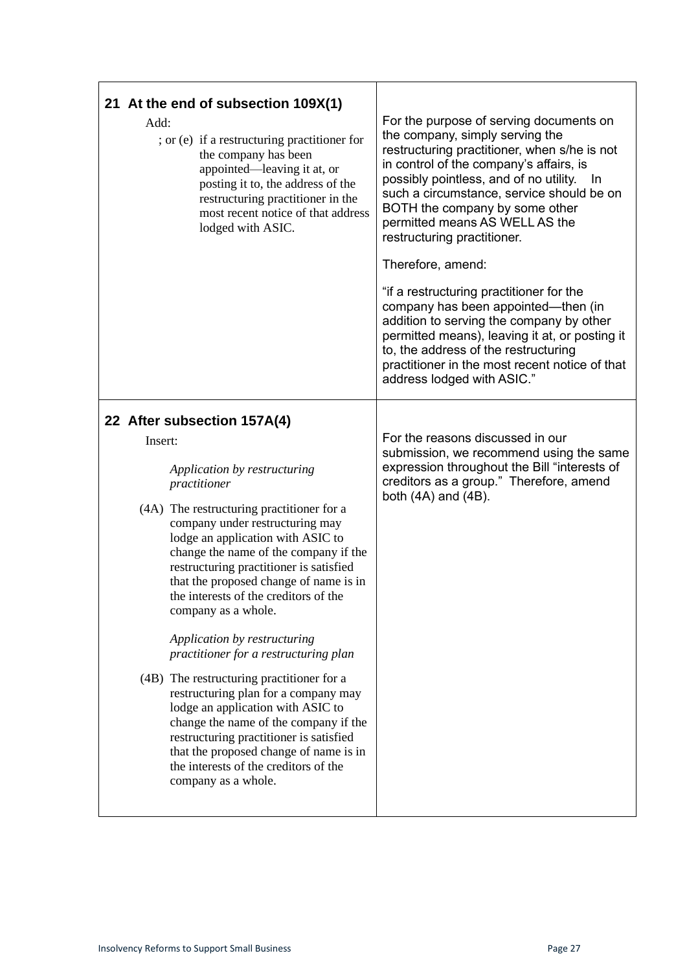| 21 At the end of subsection 109X(1)<br>Add:<br>; or (e) if a restructuring practitioner for<br>the company has been<br>appointed—leaving it at, or<br>posting it to, the address of the<br>restructuring practitioner in the<br>most recent notice of that address<br>lodged with ASIC.                                                                                                                                                                                                                                                                                                                                                                                                                                                                                                                    | For the purpose of serving documents on<br>the company, simply serving the<br>restructuring practitioner, when s/he is not<br>in control of the company's affairs, is<br>possibly pointless, and of no utility.<br>-ln<br>such a circumstance, service should be on<br>BOTH the company by some other<br>permitted means AS WELL AS the<br>restructuring practitioner.<br>Therefore, amend:<br>"if a restructuring practitioner for the<br>company has been appointed—then (in<br>addition to serving the company by other<br>permitted means), leaving it at, or posting it<br>to, the address of the restructuring<br>practitioner in the most recent notice of that<br>address lodged with ASIC." |
|------------------------------------------------------------------------------------------------------------------------------------------------------------------------------------------------------------------------------------------------------------------------------------------------------------------------------------------------------------------------------------------------------------------------------------------------------------------------------------------------------------------------------------------------------------------------------------------------------------------------------------------------------------------------------------------------------------------------------------------------------------------------------------------------------------|------------------------------------------------------------------------------------------------------------------------------------------------------------------------------------------------------------------------------------------------------------------------------------------------------------------------------------------------------------------------------------------------------------------------------------------------------------------------------------------------------------------------------------------------------------------------------------------------------------------------------------------------------------------------------------------------------|
| 22 After subsection 157A(4)<br>Insert:<br>Application by restructuring<br>practitioner<br>(4A) The restructuring practitioner for a<br>company under restructuring may<br>lodge an application with ASIC to<br>change the name of the company if the<br>restructuring practitioner is satisfied<br>that the proposed change of name is in<br>the interests of the creditors of the<br>company as a whole.<br>Application by restructuring<br>practitioner for a restructuring plan<br>(4B) The restructuring practitioner for a<br>restructuring plan for a company may<br>lodge an application with ASIC to<br>change the name of the company if the<br>restructuring practitioner is satisfied<br>that the proposed change of name is in<br>the interests of the creditors of the<br>company as a whole. | For the reasons discussed in our<br>submission, we recommend using the same<br>expression throughout the Bill "interests of<br>creditors as a group." Therefore, amend<br>both $(4A)$ and $(4B)$ .                                                                                                                                                                                                                                                                                                                                                                                                                                                                                                   |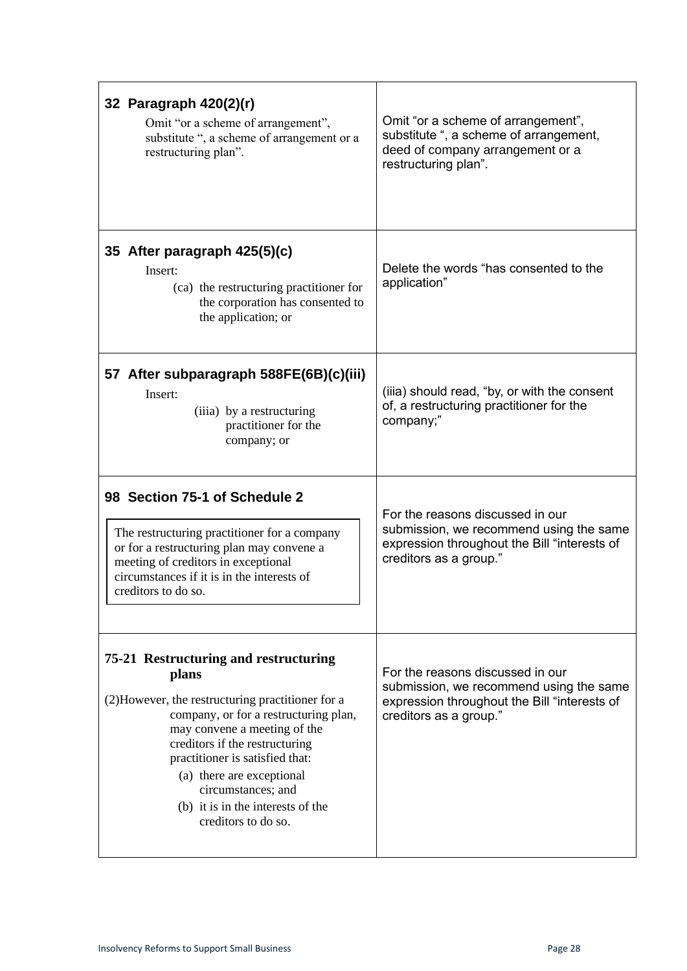| 32 Paragraph 420(2)(r)<br>Omit "or a scheme of arrangement",<br>substitute ", a scheme of arrangement or a<br>restructuring plan".                                                                                                                                                                                                                               | Omit "or a scheme of arrangement",<br>substitute ", a scheme of arrangement,<br>deed of company arrangement or a<br>restructuring plan".              |
|------------------------------------------------------------------------------------------------------------------------------------------------------------------------------------------------------------------------------------------------------------------------------------------------------------------------------------------------------------------|-------------------------------------------------------------------------------------------------------------------------------------------------------|
| 35 After paragraph 425(5)(c)<br>Insert:<br>(ca) the restructuring practitioner for<br>the corporation has consented to<br>the application; or                                                                                                                                                                                                                    | Delete the words "has consented to the<br>application"                                                                                                |
| 57 After subparagraph 588FE(6B)(c)(iii)<br>Insert:<br>(iiia) by a restructuring<br>practitioner for the<br>company; or                                                                                                                                                                                                                                           | (iiia) should read, "by, or with the consent<br>of, a restructuring practitioner for the<br>company;"                                                 |
| 98 Section 75-1 of Schedule 2<br>The restructuring practitioner for a company<br>or for a restructuring plan may convene a<br>meeting of creditors in exceptional<br>circumstances if it is in the interests of<br>creditors to do so.                                                                                                                           | For the reasons discussed in our<br>submission, we recommend using the same<br>expression throughout the Bill "interests of<br>creditors as a group." |
| 75-21 Restructuring and restructuring<br>plans<br>(2) However, the restructuring practitioner for a<br>company, or for a restructuring plan,<br>may convene a meeting of the<br>creditors if the restructuring<br>practitioner is satisfied that:<br>(a) there are exceptional<br>circumstances; and<br>(b) it is in the interests of the<br>creditors to do so. | For the reasons discussed in our<br>submission, we recommend using the same<br>expression throughout the Bill "interests of<br>creditors as a group." |